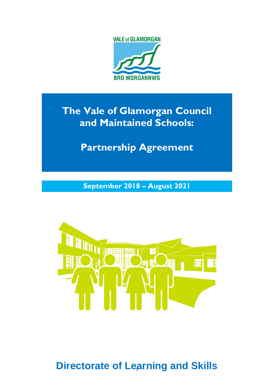

# **The Vale of Glamorgan Council and Maintained Schools:**

Ĩ, **Partnership Agreement**

**September 2018 – August 2021**



**Directorate of Learning and Skills**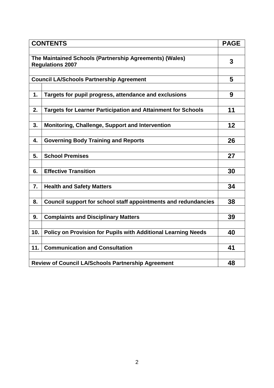| <b>CONTENTS</b>                                                                    |                                                                     |    |  |  |
|------------------------------------------------------------------------------------|---------------------------------------------------------------------|----|--|--|
|                                                                                    |                                                                     |    |  |  |
| The Maintained Schools (Partnership Agreements) (Wales)<br><b>Regulations 2007</b> |                                                                     |    |  |  |
|                                                                                    |                                                                     |    |  |  |
|                                                                                    | <b>Council LA/Schools Partnership Agreement</b>                     | 5  |  |  |
|                                                                                    |                                                                     |    |  |  |
| 1.                                                                                 | Targets for pupil progress, attendance and exclusions               | 9  |  |  |
|                                                                                    |                                                                     |    |  |  |
| 2.                                                                                 | <b>Targets for Learner Participation and Attainment for Schools</b> | 11 |  |  |
|                                                                                    |                                                                     |    |  |  |
| 3.                                                                                 | Monitoring, Challenge, Support and Intervention                     | 12 |  |  |
| 4.                                                                                 | <b>Governing Body Training and Reports</b>                          | 26 |  |  |
|                                                                                    |                                                                     |    |  |  |
| 5.                                                                                 | <b>School Premises</b>                                              | 27 |  |  |
|                                                                                    |                                                                     |    |  |  |
| 6.                                                                                 | <b>Effective Transition</b>                                         | 30 |  |  |
|                                                                                    |                                                                     |    |  |  |
| 7.                                                                                 | <b>Health and Safety Matters</b>                                    | 34 |  |  |
|                                                                                    |                                                                     |    |  |  |
| 8.                                                                                 | Council support for school staff appointments and redundancies      | 38 |  |  |
|                                                                                    |                                                                     |    |  |  |
| 9.                                                                                 | <b>Complaints and Disciplinary Matters</b>                          | 39 |  |  |
| 10.                                                                                |                                                                     | 40 |  |  |
|                                                                                    | Policy on Provision for Pupils with Additional Learning Needs       |    |  |  |
| 11.                                                                                | <b>Communication and Consultation</b>                               | 41 |  |  |
|                                                                                    |                                                                     |    |  |  |
| <b>Review of Council LA/Schools Partnership Agreement</b>                          |                                                                     |    |  |  |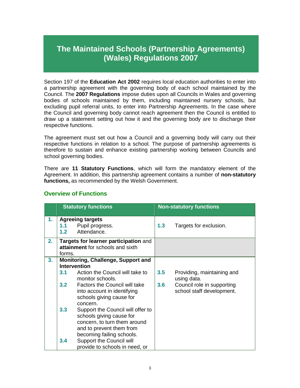## **The Maintained Schools (Partnership Agreements) (Wales) Regulations 2007**

Section 197 of the **Education Act 2002** requires local education authorities to enter into a partnership agreement with the governing body of each school maintained by the Council. The **2007 Regulations** impose duties upon all Councils in Wales and governing bodies of schools maintained by them, including maintained nursery schools, but excluding pupil referral units, to enter into Partnership Agreements. In the case where the Council and governing body cannot reach agreement then the Council is entitled to draw up a statement setting out how it and the governing body are to discharge their respective functions.

The agreement must set out how a Council and a governing body will carry out their respective functions in relation to a school. The purpose of partnership agreements is therefore to sustain and enhance existing partnership working between Councils and school governing bodies.

There are **11 Statutory Functions**, which will form the mandatory element of the Agreement. In addition, this partnership agreement contains a number of **non-statutory functions,** as recommended by the Welsh Government.

|    |                                                                                     | <b>Statutory functions</b>                                                                                                |     | <b>Non-statutory functions</b>                          |
|----|-------------------------------------------------------------------------------------|---------------------------------------------------------------------------------------------------------------------------|-----|---------------------------------------------------------|
| 1. | 1.1<br>1.2                                                                          | <b>Agreeing targets</b><br>Pupil progress.<br>Attendance.                                                                 | 1.3 | Targets for exclusion.                                  |
| 2. | Targets for learner participation and<br>attainment for schools and sixth<br>forms. |                                                                                                                           |     |                                                         |
| 3. | <b>Monitoring, Challenge, Support and</b><br><b>Intervention</b>                    |                                                                                                                           |     |                                                         |
|    | 3.1                                                                                 | Action the Council will take to<br>monitor schools.                                                                       | 3.5 | Providing, maintaining and<br>using data.               |
|    | 3.2                                                                                 | Factors the Council will take<br>into account in identifying<br>schools giving cause for<br>concern.                      | 3.6 | Council role in supporting<br>school staff development. |
|    | 3.3 <sub>2</sub>                                                                    | Support the Council will offer to<br>schools giving cause for<br>concern, to turn them around<br>and to prevent them from |     |                                                         |
|    | 3.4                                                                                 | becoming failing schools.<br>Support the Council will<br>provide to schools in need, or                                   |     |                                                         |

## **Overview of Functions**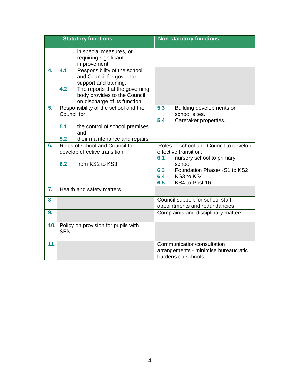|     | <b>Statutory functions</b>                                                                                                                                                                         | <b>Non-statutory functions</b>                                                                                                                                                                    |  |
|-----|----------------------------------------------------------------------------------------------------------------------------------------------------------------------------------------------------|---------------------------------------------------------------------------------------------------------------------------------------------------------------------------------------------------|--|
|     | in special measures, or<br>requiring significant<br>improvement.                                                                                                                                   |                                                                                                                                                                                                   |  |
| 4.  | 4.1<br>Responsibility of the school<br>and Council for governor<br>support and training.<br>4.2<br>The reports that the governing<br>body provides to the Council<br>on discharge of its function. |                                                                                                                                                                                                   |  |
| 5.  | Responsibility of the school and the<br>Council for:<br>5.1<br>the control of school premises<br>and<br>5.2<br>their maintenance and repairs.                                                      | 5.3<br>Building developments on<br>school sites.<br>5.4<br>Caretaker properties.                                                                                                                  |  |
| 6.  | Roles of school and Council to<br>develop effective transition:<br>6.2<br>from KS2 to KS3.                                                                                                         | Roles of school and Council to develop<br>effective transition:<br>6.1<br>nursery school to primary<br>school<br>Foundation Phase/KS1 to KS2<br>6.3<br>6.4<br>KS3 to KS4<br>6.5<br>KS4 to Post 16 |  |
| 7.  | Health and safety matters.                                                                                                                                                                         |                                                                                                                                                                                                   |  |
| 8   |                                                                                                                                                                                                    | Council support for school staff<br>appointments and redundancies                                                                                                                                 |  |
| 9.  |                                                                                                                                                                                                    | Complaints and disciplinary matters                                                                                                                                                               |  |
| 10. | Policy on provision for pupils with<br>SEN.                                                                                                                                                        |                                                                                                                                                                                                   |  |
| 11. |                                                                                                                                                                                                    | Communication/consultation<br>arrangements - minimise bureaucratic<br>burdens on schools                                                                                                          |  |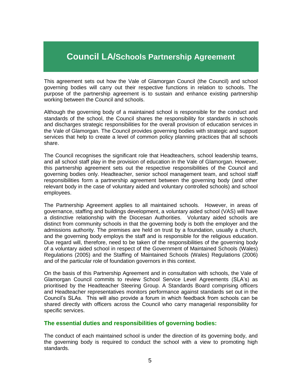## **Council LA/Schools Partnership Agreement**

This agreement sets out how the Vale of Glamorgan Council (the Council) and school governing bodies will carry out their respective functions in relation to schools. The purpose of the partnership agreement is to sustain and enhance existing partnership working between the Council and schools.

Although the governing body of a maintained school is responsible for the conduct and standards of the school, the Council shares the responsibility for standards in schools and discharges strategic responsibilities for the overall provision of education services in the Vale of Glamorgan. The Council provides governing bodies with strategic and support services that help to create a level of common policy planning practices that all schools share.

The Council recognises the significant role that Headteachers, school leadership teams, and all school staff play in the provision of education in the Vale of Glamorgan. However, this partnership agreement sets out the respective responsibilities of the Council and governing bodies only. Headteacher, senior school management team, and school staff responsibilities form a partnership agreement between the governing body (and other relevant body in the case of voluntary aided and voluntary controlled schools) and school employees.

The Partnership Agreement applies to all maintained schools. However, in areas of governance, staffing and buildings development, a voluntary aided school (VAS) will have a distinctive relationship with the Diocesan Authorities. Voluntary aided schools are distinct from community schools in that the governing body is both the employer and the admissions authority. The premises are held on trust by a foundation, usually a church, and the governing body employs the staff and is responsible for the religious education. Due regard will, therefore, need to be taken of the responsibilities of the governing body of a voluntary aided school in respect of the Government of Maintained Schools (Wales) Regulations (2005) and the Staffing of Maintained Schools (Wales) Regulations (2006) and of the particular role of foundation governors in this context.

On the basis of this Partnership Agreement and in consultation with schools, the Vale of Glamorgan Council commits to review School Service Level Agreements (SLA's) as prioritised by the Headteacher Steering Group. A Standards Board comprising officers and Headteacher representatives monitors performance against standards set out in the Council's SLAs. This will also provide a forum in which feedback from schools can be shared directly with officers across the Council who carry managerial responsibility for specific services.

#### **The essential duties and responsibilities of governing bodies:**

The conduct of each maintained school is under the direction of its governing body, and the governing body is required to conduct the school with a view to promoting high standards.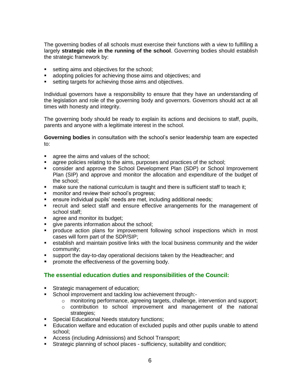The governing bodies of all schools must exercise their functions with a view to fulfilling a largely **strategic role in the running of the school**. Governing bodies should establish the strategic framework by:

- setting aims and objectives for the school;
- **a** adopting policies for achieving those aims and objectives; and
- setting targets for achieving those aims and objectives.

Individual governors have a responsibility to ensure that they have an understanding of the legislation and role of the governing body and governors. Governors should act at all times with honesty and integrity.

The governing body should be ready to explain its actions and decisions to staff, pupils, parents and anyone with a legitimate interest in the school.

**Governing bodies** in consultation with the school's senior leadership team are expected to:

- **agree the aims and values of the school;**
- **agree policies relating to the aims, purposes and practices of the school;**
- consider and approve the School Development Plan (SDP) or School Improvement Plan (SIP) and approve and monitor the allocation and expenditure of the budget of the school;
- make sure the national curriculum is taught and there is sufficient staff to teach it;
- **number 1** monitor and review their school's progress;
- ensure individual pupils' needs are met, including additional needs;
- recruit and select staff and ensure effective arrangements for the management of school staff;
- **agree and monitor its budget;**
- **qive parents information about the school;**
- produce action plans for improvement following school inspections which in most cases will form part of the SDP/SIP;
- establish and maintain positive links with the local business community and the wider community;
- support the day-to-day operational decisions taken by the Headteacher; and
- **Peromote the effectiveness of the governing body.**

#### **The essential education duties and responsibilities of the Council:**

- Strategic management of education;
- School improvement and tackling low achievement through:-
	- $\circ$  monitoring performance, agreeing targets, challenge, intervention and support;
	- o contribution to school improvement and management of the national strategies;
- **Special Educational Needs statutory functions;**
- Education welfare and education of excluded pupils and other pupils unable to attend school;
- Access (including Admissions) and School Transport;
- Strategic planning of school places sufficiency, suitability and condition;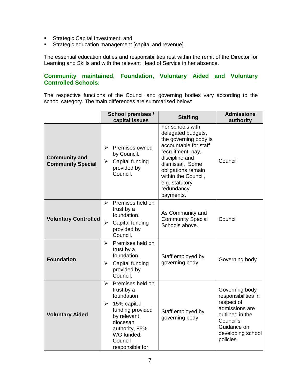- **Strategic Capital Investment; and**
- **Strategic education management [capital and revenue].**

The essential education duties and responsibilities rest within the remit of the Director for Learning and Skills and with the relevant Head of Service in her absence.

#### **Community maintained, Foundation, Voluntary Aided and Voluntary Controlled Schools:**

The respective functions of the Council and governing bodies vary according to the school category. The main differences are summarised below:

|                                                  | School premises /<br>capital issues                                                                                                                                                                                        | <b>Staffing</b>                                                                                                                                                                                                                              | <b>Admissions</b><br>authority                                                                                                                        |
|--------------------------------------------------|----------------------------------------------------------------------------------------------------------------------------------------------------------------------------------------------------------------------------|----------------------------------------------------------------------------------------------------------------------------------------------------------------------------------------------------------------------------------------------|-------------------------------------------------------------------------------------------------------------------------------------------------------|
| <b>Community and</b><br><b>Community Special</b> | Premises owned<br>⋗<br>by Council.<br>Capital funding<br>➤<br>provided by<br>Council.                                                                                                                                      | For schools with<br>delegated budgets,<br>the governing body is<br>accountable for staff<br>recruitment, pay,<br>discipline and<br>dismissal. Some<br>obligations remain<br>within the Council,<br>e.g. statutory<br>redundancy<br>payments. | Council                                                                                                                                               |
| <b>Voluntary Controlled</b>                      | Premises held on<br>➤<br>trust by a<br>foundation.<br>Capital funding<br>⋗<br>provided by<br>Council.                                                                                                                      | As Community and<br><b>Community Special</b><br>Schools above.                                                                                                                                                                               | Council                                                                                                                                               |
| <b>Foundation</b>                                | Premises held on<br>≻<br>trust by a<br>foundation.<br>Capital funding<br>≻<br>provided by<br>Council.                                                                                                                      | Staff employed by<br>governing body                                                                                                                                                                                                          | Governing body                                                                                                                                        |
| <b>Voluntary Aided</b>                           | Premises held on<br>$\blacktriangleright$<br>trust by a<br>foundation<br>15% capital<br>$\blacktriangleright$<br>funding provided<br>by relevant<br>diocesan<br>authority, 85%<br>WG funded.<br>Council<br>responsible for | Staff employed by<br>governing body                                                                                                                                                                                                          | Governing body<br>responsibilities in<br>respect of<br>admissions are<br>outlined in the<br>Council's<br>Guidance on<br>developing school<br>policies |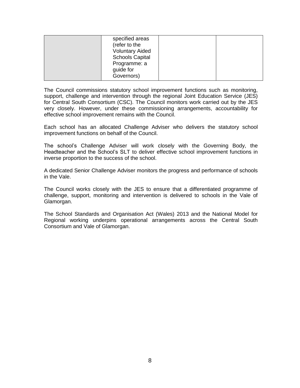| specified areas<br>(refer to the<br><b>Voluntary Aided</b><br><b>Schools Capital</b><br>Programme: a |  |
|------------------------------------------------------------------------------------------------------|--|
| guide for                                                                                            |  |
| Governors)                                                                                           |  |

The Council commissions statutory school improvement functions such as monitoring, support, challenge and intervention through the regional Joint Education Service (JES) for Central South Consortium (CSC). The Council monitors work carried out by the JES very closely. However, under these commissioning arrangements, accountability for effective school improvement remains with the Council.

Each school has an allocated Challenge Adviser who delivers the statutory school improvement functions on behalf of the Council.

The school's Challenge Adviser will work closely with the Governing Body, the Headteacher and the School's SLT to deliver effective school improvement functions in inverse proportion to the success of the school.

A dedicated Senior Challenge Adviser monitors the progress and performance of schools in the Vale.

The Council works closely with the JES to ensure that a differentiated programme of challenge, support, monitoring and intervention is delivered to schools in the Vale of Glamorgan.

The School Standards and Organisation Act (Wales) 2013 and the National Model for Regional working underpins operational arrangements across the Central South Consortium and Vale of Glamorgan.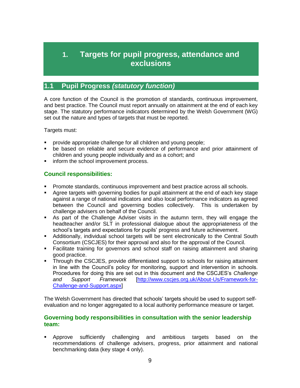## **1. Targets for pupil progress, attendance and exclusions**

## **1.1 Pupil Progress** *(statutory function)*

A core function of the Council is the promotion of standards, continuous improvement, and best practice. The Council must report annually on attainment at the end of each key stage. The statutory performance indicators determined by the Welsh Government (WG) set out the nature and types of targets that must be reported.

Targets must:

- provide appropriate challenge for all children and young people;
- be based on reliable and secure evidence of performance and prior attainment of children and young people individually and as a cohort; and
- **inform the school improvement process.**

## **Council responsibilities:**

- **Promote standards, continuous improvement and best practice across all schools.**
- Agree targets with governing bodies for pupil attainment at the end of each key stage against a range of national indicators and also local performance indicators as agreed between the Council and governing bodies collectively. This is undertaken by challenge advisers on behalf of the Council.
- As part of the Challenge Adviser visits in the autumn term, they will engage the headteacher and/or SLT in professional dialogue about the appropriateness of the school's targets and expectations for pupils' progress and future achievement.
- Additionally, individual school targets will be sent electronically to the Central South Consortium (CSCJES) for their approval and also for the approval of the Council.
- Facilitate training for governors and school staff on raising attainment and sharing good practice.
- Through the CSCJES, provide differentiated support to schools for raising attainment in line with the Council's policy for monitoring, support and intervention in schools. Procedures for doing this are set out in this document and the CSCJES's *Challenge and Support Framework* [\[http://www.cscjes.org.uk/About-Us/Framework-for-](http://www.cscjes.org.uk/About-Us/Framework-for-Challenge-and-Support.aspx)[Challenge-and-Support.aspx\]](http://www.cscjes.org.uk/About-Us/Framework-for-Challenge-and-Support.aspx)

The Welsh Government has directed that schools' targets should be used to support selfevaluation and no longer aggregated to a local authority performance measure or target.

#### **Governing body responsibilities in consultation with the senior leadership team:**

 Approve sufficiently challenging and ambitious targets based on the recommendations of challenge advisers, progress, prior attainment and national benchmarking data (key stage 4 only).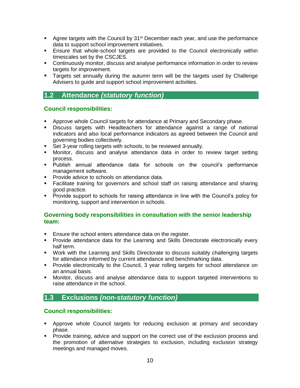- Agree targets with the Council by  $31<sup>st</sup>$  December each year, and use the performance data to support school improvement initiatives.
- Ensure that whole-school targets are provided to the Council electronically within timescales set by the CSCJES.
- Continuously monitor, discuss and analyse performance information in order to review targets for improvement.
- **Targets set annually during the autumn term will be the targets used by Challenge** Advisers to guide and support school improvement activities.

## **1.2 Attendance** *(statutory function)*

#### **Council responsibilities:**

- **Approve whole Council targets for attendance at Primary and Secondary phase.**
- Discuss targets with Headteachers for attendance against a range of national indicators and also local performance indicators as agreed between the Council and governing bodies collectively.
- Set 3-year rolling targets with schools, to be reviewed annually.
- Monitor, discuss and analyse attendance data in order to review target setting process.
- Publish annual attendance data for schools on the council's performance management software.
- **Provide advice to schools on attendance data.**
- Facilitate training for governors and school staff on raising attendance and sharing good practice.
- **Provide support to schools for raising attendance in line with the Council's policy for** monitoring, support and intervention in schools.

#### **Governing body responsibilities in consultation with the senior leadership team:**

- **Ensure the school enters attendance data on the register.**
- **Provide attendance data for the Learning and Skills Directorate electronically every** half term.
- Work with the Learning and Skills Directorate to discuss suitably challenging targets for attendance informed by current attendance and benchmarking data.
- **Provide electronically to the Council, 3 year rolling targets for school attendance on** an annual basis.
- Monitor, discuss and analyse attendance data to support targeted interventions to raise attendance in the school.

## **1.3 Exclusions** *(non-statutory function)*

#### **Council responsibilities:**

- Approve whole Council targets for reducing exclusion at primary and secondary phase.
- Provide training, advice and support on the correct use of the exclusion process and the promotion of alternative strategies to exclusion, including exclusion strategy meetings and managed moves.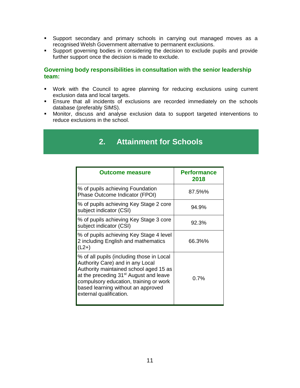- Support secondary and primary schools in carrying out managed moves as a recognised Welsh Government alternative to permanent exclusions.
- Support governing bodies in considering the decision to exclude pupils and provide further support once the decision is made to exclude.

#### **Governing body responsibilities in consultation with the senior leadership team:**

- Work with the Council to agree planning for reducing exclusions using current exclusion data and local targets.
- Ensure that all incidents of exclusions are recorded immediately on the schools database (preferably SIMS).
- Monitor, discuss and analyse exclusion data to support targeted interventions to reduce exclusions in the school.

## **2. Attainment for Schools**

| <b>Outcome measure</b>                                                                                                                                                                                                                                                                   | <b>Performance</b><br>2018 |
|------------------------------------------------------------------------------------------------------------------------------------------------------------------------------------------------------------------------------------------------------------------------------------------|----------------------------|
| % of pupils achieving Foundation<br>Phase Outcome Indicator (FPOI)                                                                                                                                                                                                                       | 87.5%%                     |
| % of pupils achieving Key Stage 2 core<br>subject indicator (CSI)                                                                                                                                                                                                                        | 94.9%                      |
| % of pupils achieving Key Stage 3 core<br>subject indicator (CSI)                                                                                                                                                                                                                        | 92.3%                      |
| % of pupils achieving Key Stage 4 level<br>2 including English and mathematics<br>$(L2+)$                                                                                                                                                                                                | 66.3%%                     |
| % of all pupils (including those in Local<br>Authority Care) and in any Local<br>Authority maintained school aged 15 as<br>at the preceding 31 <sup>st</sup> August and leave<br>compulsory education, training or work<br>based learning without an approved<br>external qualification. | 0.7%                       |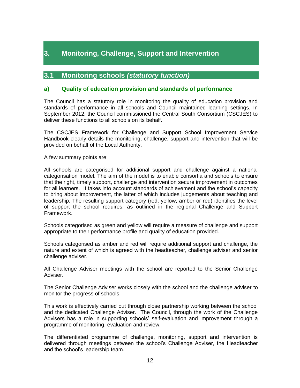## **3. Monitoring, Challenge, Support and Intervention**

## **3.1 Monitoring schools** *(statutory function)*

#### **a) Quality of education provision and standards of performance**

The Council has a statutory role in monitoring the quality of education provision and standards of performance in all schools and Council maintained learning settings. In September 2012, the Council commissioned the Central South Consortium (CSCJES) to deliver these functions to all schools on its behalf.

The CSCJES Framework for Challenge and Support School Improvement Service Handbook clearly details the monitoring, challenge, support and intervention that will be provided on behalf of the Local Authority.

A few summary points are:

All schools are categorised for additional support and challenge against a national categorisation model. The aim of the model is to enable consortia and schools to ensure that the right, timely support, challenge and intervention secure improvement in outcomes for all learners. It takes into account standards of achievement and the school's capacity to bring about improvement, the latter of which includes judgements about teaching and leadership. The resulting support category (red, yellow, amber or red) identifies the level of support the school requires, as outlined in the regional Challenge and Support Framework.

Schools categorised as green and yellow will require a measure of challenge and support appropriate to their performance profile and quality of education provided.

Schools categorised as amber and red will require additional support and challenge, the nature and extent of which is agreed with the headteacher, challenge adviser and senior challenge adviser.

All Challenge Adviser meetings with the school are reported to the Senior Challenge Adviser.

The Senior Challenge Adviser works closely with the school and the challenge adviser to monitor the progress of schools.

This work is effectively carried out through close partnership working between the school and the dedicated Challenge Adviser. The Council, through the work of the Challenge Advisers has a role in supporting schools' self-evaluation and improvement through a programme of monitoring, evaluation and review.

The differentiated programme of challenge, monitoring, support and intervention is delivered through meetings between the school's Challenge Adviser, the Headteacher and the school's leadership team.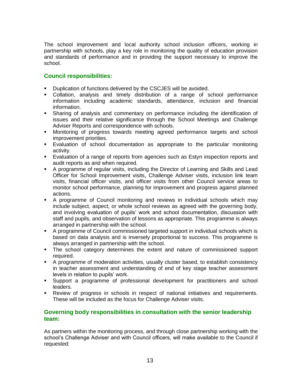The school improvement and local authority school inclusion officers, working in partnership with schools, play a key role in monitoring the quality of education provision and standards of performance and in providing the support necessary to improve the school.

#### **Council responsibilities:**

- **Duplication of functions delivered by the CSCJES will be avoided.**
- Collation, analysis and timely distribution of a range of school performance information including academic standards, attendance, inclusion and financial information.
- Sharing of analysis and commentary on performance including the identification of issues and their relative significance through the School Meetings and Challenge Adviser Reports and correspondence with schools.
- Monitoring of progress towards meeting agreed performance targets and school improvement priorities.
- Evaluation of school documentation as appropriate to the particular monitoring activity.
- Evaluation of a range of reports from agencies such as Estyn inspection reports and audit reports as and when required.
- A programme of regular visits, including the Director of Learning and Skills and Lead Officer for School Improvement visits, Challenge Adviser visits, inclusion link team visits, financial officer visits, and officer visits from other Council service areas to monitor school performance, planning for improvement and progress against planned actions.
- A programme of Council monitoring and reviews in individual schools which may include subject, aspect, or whole school reviews as agreed with the governing body, and involving evaluation of pupils' work and school documentation, discussion with staff and pupils, and observation of lessons as appropriate. This programme is always arranged in partnership with the school.
- A programme of Council commissioned targeted support in individual schools which is based on data analysis and is inversely proportional to success. This programme is always arranged in partnership with the school.
- The school category determines the extent and nature of commissioned support required.
- A programme of moderation activities, usually cluster based, to establish consistency in teacher assessment and understanding of end of key stage teacher assessment levels in relation to pupils' work.
- Support a programme of professional development for practitioners and school leaders.
- Review of progress in schools in respect of national initiatives and requirements. These will be included as the focus for Challenge Adviser visits.

#### **Governing body responsibilities in consultation with the senior leadership team:**

As partners within the monitoring process, and through close partnership working with the school's Challenge Adviser and with Council officers, will make available to the Council if requested: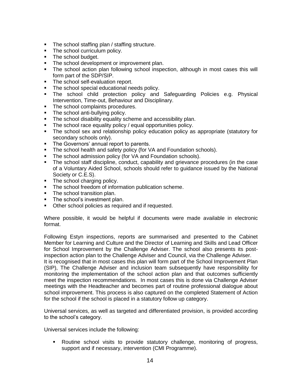- The school staffing plan / staffing structure.
- The school curriculum policy.
- The school budget.
- The school development or improvement plan.
- The school action plan following school inspection, although in most cases this will form part of the SDP/SIP.
- The school self-evaluation report.
- The school special educational needs policy.
- The school child protection policy and Safeguarding Policies e.g. Physical Intervention, Time-out, Behaviour and Disciplinary.
- The school complaints procedures.
- The school anti-bullying policy.
- The school disability equality scheme and accessibility plan.
- The school race equality policy / equal opportunities policy.
- The school sex and relationship policy education policy as appropriate (statutory for secondary schools only).
- The Governors' annual report to parents.
- The school health and safety policy (for VA and Foundation schools).
- The school admission policy (for VA and Foundation schools).
- The school staff discipline, conduct, capability and grievance procedures (in the case of a Voluntary Aided School, schools should refer to guidance issued by the National Society or C.E.S).
- The school charging policy.
- The school freedom of information publication scheme.
- The school transition plan.
- The school's investment plan.
- **•** Other school policies as required and if requested.

Where possible, it would be helpful if documents were made available in electronic format.

Following Estyn inspections, reports are summarised and presented to the Cabinet Member for Learning and Culture and the Director of Learning and Skills and Lead Officer for School Improvement by the Challenge Adviser. The school also presents its postinspection action plan to the Challenge Adviser and Council, via the Challenge Adviser.

It is recognised that in most cases this plan will form part of the School Improvement Plan (SIP), The Challenge Adviser and inclusion team subsequently have responsibility for monitoring the implementation of the school action plan and that outcomes sufficiently meet the inspection recommendations. In most cases this is done via Challenge Adviser meetings with the Headteacher and becomes part of routine professional dialogue about school improvement. This process is also captured on the completed Statement of Action for the school if the school is placed in a statutory follow up category.

Universal services, as well as targeted and differentiated provision, is provided according to the school's category.

Universal services include the following:

 Routine school visits to provide statutory challenge, monitoring of progress, support and if necessary, intervention (CMI Programme).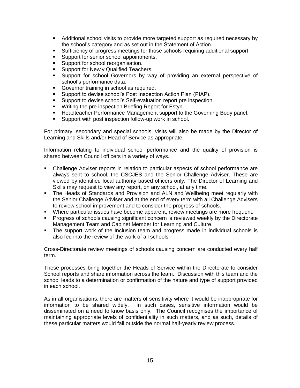- Additional school visits to provide more targeted support as required necessary by the school's category and as set out in the Statement of Action.
- Sufficiency of progress meetings for those schools requiring additional support.
- **Support for senior school appointments.**
- **Support for school reorganisation.**
- **Support for Newly Qualified Teachers.**
- Support for school Governors by way of providing an external perspective of school's performance data.
- **Governor training in school as required.**
- **Support to devise school's Post Inspection Action Plan (PIAP).**
- Support to devise school's Self-evaluation report pre inspection.
- **Writing the pre inspection Briefing Report for Estyn.**
- Headteacher Performance Management support to the Governing Body panel.
- **Support with post inspection follow-up work in school.**

For primary, secondary and special schools, visits will also be made by the Director of Learning and Skills and/or Head of Service as appropriate.

Information relating to individual school performance and the quality of provision is shared between Council officers in a variety of ways.

- Challenge Adviser reports in relation to particular aspects of school performance are always sent to school, the CSCJES and the Senior Challenge Adviser. These are viewed by identified local authority based officers only. The Director of Learning and Skills may request to view any report, on any school, at any time.
- The Heads of Standards and Provision and ALN and Wellbeing meet regularly with the Senior Challenge Adviser and at the end of every term with all Challenge Advisers to review school improvement and to consider the progress of schools.
- Where particular issues have become apparent, review meetings are more frequent.
- **Progress of schools causing significant concern is reviewed weekly by the Directorate** Management Team and Cabinet Member for Learning and Culture.
- The support work of the Inclusion team and progress made in individual schools is also fed into the review of the work of all schools.

Cross-Directorate review meetings of schools causing concern are conducted every half term.

These processes bring together the Heads of Service within the Directorate to consider School reports and share information across the team. Discussion with this team and the school leads to a determination or confirmation of the nature and type of support provided in each school.

As in all organisations, there are matters of sensitivity where it would be inappropriate for information to be shared widely. In such cases, sensitive information would be disseminated on a need to know basis only. The Council recognises the importance of maintaining appropriate levels of confidentiality in such matters, and as such, details of these particular matters would fall outside the normal half-yearly review process.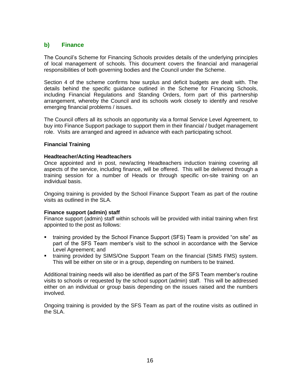#### **b) Finance**

The Council's Scheme for Financing Schools provides details of the underlying principles of local management of schools. This document covers the financial and managerial responsibilities of both governing bodies and the Council under the Scheme.

Section 4 of the scheme confirms how surplus and deficit budgets are dealt with. The details behind the specific guidance outlined in the Scheme for Financing Schools, including Financial Regulations and Standing Orders, form part of this partnership arrangement, whereby the Council and its schools work closely to identify and resolve emerging financial problems / issues.

The Council offers all its schools an opportunity via a formal Service Level Agreement, to buy into Finance Support package to support them in their financial / budget management role. Visits are arranged and agreed in advance with each participating school.

#### **Financial Training**

#### **Headteacher/Acting Headteachers**

Once appointed and in post, new/acting Headteachers induction training covering all aspects of the service, including finance, will be offered. This will be delivered through a training session for a number of Heads or through specific on-site training on an individual basis.

Ongoing training is provided by the School Finance Support Team as part of the routine visits as outlined in the SLA.

#### **Finance support (admin) staff**

Finance support (admin) staff within schools will be provided with initial training when first appointed to the post as follows:

- training provided by the School Finance Support (SFS) Team is provided "on site" as part of the SFS Team member's visit to the school in accordance with the Service Level Agreement; and
- **training provided by SIMS/One Support Team on the financial (SIMS FMS) system.** This will be either on site or in a group, depending on numbers to be trained.

Additional training needs will also be identified as part of the SFS Team member's routine visits to schools or requested by the school support (admin) staff. This will be addressed either on an individual or group basis depending on the issues raised and the numbers involved.

Ongoing training is provided by the SFS Team as part of the routine visits as outlined in the SLA.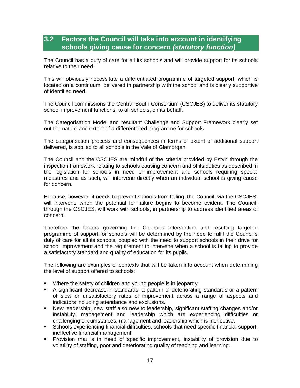## **3.2 Factors the Council will take into account in identifying schools giving cause for concern** *(statutory function)*

The Council has a duty of care for all its schools and will provide support for its schools relative to their need.

This will obviously necessitate a differentiated programme of targeted support, which is located on a continuum, delivered in partnership with the school and is clearly supportive of identified need.

The Council commissions the Central South Consortium (CSCJES) to deliver its statutory school improvement functions, to all schools, on its behalf.

The Categorisation Model and resultant Challenge and Support Framework clearly set out the nature and extent of a differentiated programme for schools.

The categorisation process and consequences in terms of extent of additional support delivered, is applied to all schools in the Vale of Glamorgan.

The Council and the CSCJES are mindful of the criteria provided by Estyn through the inspection framework relating to schools causing concern and of its duties as described in the legislation for schools in need of improvement and schools requiring special measures and as such, will intervene directly when an individual school is giving cause for concern.

Because, however, it needs to prevent schools from failing, the Council, via the CSCJES, will intervene when the potential for failure begins to become evident. The Council, through the CSCJES, will work with schools, in partnership to address identified areas of concern.

Therefore the factors governing the Council's intervention and resulting targeted programme of support for schools will be determined by the need to fulfil the Council's duty of care for all its schools, coupled with the need to support schools in their drive for school improvement and the requirement to intervene when a school is failing to provide a satisfactory standard and quality of education for its pupils.

The following are examples of contexts that will be taken into account when determining the level of support offered to schools:

- **Where the safety of children and young people is in jeopardy.**
- A significant decrease in standards, a pattern of deteriorating standards or a pattern of slow or unsatisfactory rates of improvement across a range of aspects and indicators including attendance and exclusions.
- New leadership, new staff also new to leadership, significant staffing changes and/or instability, management and leadership which are experiencing difficulties or challenging circumstances, management and leadership which is ineffective.
- Schools experiencing financial difficulties, schools that need specific financial support, ineffective financial management.
- **Provision that is in need of specific improvement, instability of provision due to** volatility of staffing, poor and deteriorating quality of teaching and learning.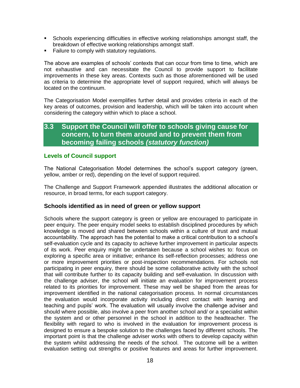- Schools experiencing difficulties in effective working relationships amongst staff, the breakdown of effective working relationships amongst staff.
- **Failure to comply with statutory regulations.**

The above are examples of schools' contexts that can occur from time to time, which are not exhaustive and can necessitate the Council to provide support to facilitate improvements in these key areas. Contexts such as those aforementioned will be used as criteria to determine the appropriate level of support required, which will always be located on the continuum.

The Categorisation Model exemplifies further detail and provides criteria in each of the key areas of outcomes, provision and leadership, which will be taken into account when considering the category within which to place a school.

## **3.3 Support the Council will offer to schools giving cause for concern, to turn them around and to prevent them from becoming failing schools** *(statutory function)*

#### **Levels of Council support**

The National Categorisation Model determines the school's support category (green, yellow, amber or red), depending on the level of support required.

The Challenge and Support Framework appended illustrates the additional allocation or resource, in broad terms, for each support category.

#### **Schools identified as in need of green or yellow support**

Schools where the support category is green or yellow are encouraged to participate in peer enquiry. The peer enquiry model seeks to establish disciplined procedures by which knowledge is moved and shared between schools within a culture of trust and mutual accountability. The approach has the potential to make a critical contribution to a school's self-evaluation cycle and its capacity to achieve further improvement in particular aspects of its work. Peer enquiry might be undertaken because a school wishes to: focus on exploring a specific area or initiative; enhance its self-reflection processes; address one or more improvement priorities or post-inspection recommendations. For schools not participating in peer enquiry, there should be some collaborative activity with the school that will contribute further to its capacity building and self-evaluation. In discussion with the challenge adviser, the school will initiate an evaluation for improvement process related to its priorities for improvement. These may well be shaped from the areas for improvement identified in the national categorisation process. In normal circumstances the evaluation would incorporate activity including direct contact with learning and teaching and pupils' work. The evaluation will usually involve the challenge adviser and should where possible, also involve a peer from another school and/ or a specialist within the system and or other personnel in the school in addition to the headteacher. The flexibility with regard to who is involved in the evaluation for improvement process is designed to ensure a bespoke solution to the challenges faced by different schools. The important point is that the challenge adviser works with others to develop capacity within the system whilst addressing the needs of the school. The outcome will be a written evaluation setting out strengths or positive features and areas for further improvement.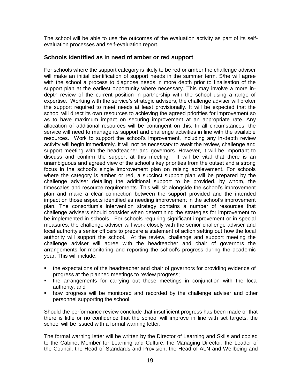The school will be able to use the outcomes of the evaluation activity as part of its selfevaluation processes and self-evaluation report.

#### **Schools identified as in need of amber or red support**

For schools where the support category is likely to be red or amber the challenge adviser will make an initial identification of support needs in the summer term. S/he will agree with the school a process to diagnose needs in more depth prior to finalisation of the support plan at the earliest opportunity where necessary. This may involve a more indepth review of the current position in partnership with the school using a range of expertise. Working with the service's strategic advisers, the challenge adviser will broker the support required to meet needs at least provisionally. It will be expected that the school will direct its own resources to achieving the agreed priorities for improvement so as to have maximum impact on securing improvement at an appropriate rate. Any allocation of additional resources will be contingent on this. In all circumstances, the service will need to manage its support and challenge activities in line with the available resources. Work to support the school's improvement, including any in-depth review activity will begin immediately. It will not be necessary to await the review, challenge and support meeting with the headteacher and governors. However, it will be important to discuss and confirm the support at this meeting. It will be vital that there is an unambiguous and agreed view of the school's key priorities from the outset and a strong focus in the school's single improvement plan on raising achievement. For schools where the category is amber or red, a succinct support plan will be prepared by the challenge adviser detailing the additional support to be provided, by whom, the timescales and resource requirements. This will sit alongside the school's improvement plan and make a clear connection between the support provided and the intended impact on those aspects identified as needing improvement in the school's improvement plan. The consortium's intervention strategy contains a number of resources that challenge advisers should consider when determining the strategies for improvement to be implemented in schools. For schools requiring significant improvement or in special measures, the challenge adviser will work closely with the senior challenge adviser and local authority's senior officers to prepare a statement of action setting out how the local authority will support the school. At the review, challenge and support meeting the challenge adviser will agree with the headteacher and chair of governors the arrangements for monitoring and reporting the school's progress during the academic year. This will include:

- the expectations of the headteacher and chair of governors for providing evidence of progress at the planned meetings to review progress;
- the arrangements for carrying out these meetings in conjunction with the local authority; and
- how progress will be monitored and recorded by the challenge adviser and other personnel supporting the school.

Should the performance review conclude that insufficient progress has been made or that there is little or no confidence that the school will improve in line with set targets, the school will be issued with a formal warning letter.

The formal warning letter will be written by the Director of Learning and Skills and copied to the Cabinet Member for Learning and Culture, the Managing Director, the Leader of the Council, the Head of Standards and Provision, the Head of ALN and Wellbeing and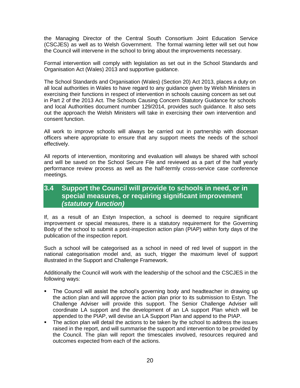the Managing Director of the Central South Consortium Joint Education Service (CSCJES) as well as to Welsh Government. The formal warning letter will set out how the Council will intervene in the school to bring about the improvements necessary.

Formal intervention will comply with legislation as set out in the School Standards and Organisation Act (Wales) 2013 and supportive guidance.

The School Standards and Organisation (Wales) (Section 20) Act 2013, places a duty on all local authorities in Wales to have regard to any guidance given by Welsh Ministers in exercising their functions in respect of intervention in schools causing concern as set out in Part 2 of the 2013 Act. The Schools Causing Concern Statutory Guidance for schools and local Authorities document number 129/2014, provides such guidance. It also sets out the approach the Welsh Ministers will take in exercising their own intervention and consent function.

All work to improve schools will always be carried out in partnership with diocesan officers where appropriate to ensure that any support meets the needs of the school effectively.

All reports of intervention, monitoring and evaluation will always be shared with school and will be saved on the School Secure File and reviewed as a part of the half yearly performance review process as well as the half-termly cross-service case conference meetings.

## **3.4 Support the Council will provide to schools in need, or in special measures, or requiring significant improvement**  *(statutory function)*

If, as a result of an Estyn Inspection, a school is deemed to require significant improvement or special measures, there is a statutory requirement for the Governing Body of the school to submit a post-inspection action plan (PIAP) within forty days of the publication of the inspection report.

Such a school will be categorised as a school in need of red level of support in the national categorisation model and, as such, trigger the maximum level of support illustrated in the Support and Challenge Framework.

Additionally the Council will work with the leadership of the school and the CSCJES in the following ways:

- The Council will assist the school's governing body and headteacher in drawing up the action plan and will approve the action plan prior to its submission to Estyn. The Challenge Adviser will provide this support. The Senior Challenge Adviser will coordinate LA support and the development of an LA support Plan which will be appended to the PIAP, will devise an LA Support Plan and append to the PIAP.
- The action plan will detail the actions to be taken by the school to address the issues raised in the report, and will summarise the support and intervention to be provided by the Council. The plan will report the timescales involved, resources required and outcomes expected from each of the actions.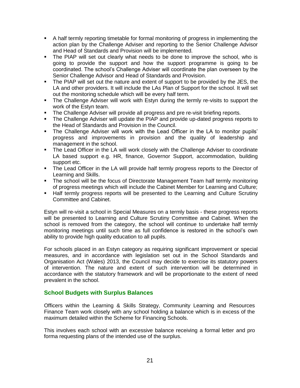- A half termly reporting timetable for formal monitoring of progress in implementing the action plan by the Challenge Adviser and reporting to the Senior Challenge Advisor and Head of Standards and Provision will be implemented.
- The PIAP will set out clearly what needs to be done to improve the school, who is going to provide the support and how the support programme is going to be coordinated. The school's Challenge Adviser will coordinate the plan overseen by the Senior Challenge Advisor and Head of Standards and Provision.
- The PIAP will set out the nature and extent of support to be provided by the JES, the LA and other providers. It will include the LAs Plan of Support for the school. It will set out the monitoring schedule which will be every half term.
- The Challenge Adviser will work with Estyn during the termly re-visits to support the work of the Estyn team.
- **The Challenge Adviser will provide all progress and pre re-visit briefing reports.**
- The Challenge Adviser will update the PIAP and provide up-dated progress reports to the Head of Standards and Provision in the Council.
- The Challenge Adviser will work with the Lead Officer in the LA to monitor pupils' progress and improvements in provision and the quality of leadership and management in the school.
- The Lead Officer in the LA will work closely with the Challenge Adviser to coordinate LA based support e.g. HR, finance, Governor Support, accommodation, building support etc.
- The Lead Officer in the LA will provide half termly progress reports to the Director of Learning and Skills.
- The school will be the focus of Directorate Management Team half termly monitoring of progress meetings which will include the Cabinet Member for Learning and Culture;
- Half termly progress reports will be presented to the Learning and Culture Scrutiny Committee and Cabinet.

Estyn will re-visit a school in Special Measures on a termly basis - these progress reports will be presented to Learning and Culture Scrutiny Committee and Cabinet. When the school is removed from the category, the school will continue to undertake half termly monitoring meetings until such time as full confidence is restored in the school's own ability to provide high quality education to all pupils.

For schools placed in an Estyn category as requiring significant improvement or special measures, and in accordance with legislation set out in the School Standards and Organisation Act (Wales) 2013, the Council may decide to exercise its statutory powers of intervention. The nature and extent of such intervention will be determined in accordance with the statutory framework and will be proportionate to the extent of need prevalent in the school.

#### **School Budgets with Surplus Balances**

Officers within the Learning & Skills Strategy, Community Learning and Resources Finance Team work closely with any school holding a balance which is in excess of the maximum detailed within the Scheme for Financing Schools.

This involves each school with an excessive balance receiving a formal letter and pro forma requesting plans of the intended use of the surplus.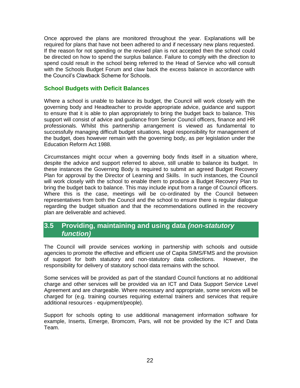Once approved the plans are monitored throughout the year. Explanations will be required for plans that have not been adhered to and if necessary new plans requested. If the reason for not spending or the revised plan is not accepted then the school could be directed on how to spend the surplus balance. Failure to comply with the direction to spend could result in the school being referred to the Head of Service who will consult with the Schools Budget Forum and claw back the excess balance in accordance with the Council's Clawback Scheme for Schools.

#### **School Budgets with Deficit Balances**

Where a school is unable to balance its budget, the Council will work closely with the governing body and Headteacher to provide appropriate advice, guidance and support to ensure that it is able to plan appropriately to bring the budget back to balance. This support will consist of advice and guidance from Senior Council officers, finance and HR professionals. Whilst this partnership arrangement is viewed as fundamental to successfully managing difficult budget situations, legal responsibility for management of the budget, does however remain with the governing body, as per legislation under the Education Reform Act 1988.

Circumstances might occur when a governing body finds itself in a situation where, despite the advice and support referred to above, still unable to balance its budget. In these instances the Governing Body is required to submit an agreed Budget Recovery Plan for approval by the Director of Learning and Skills. In such instances, the Council will work closely with the school to enable them to produce a Budget Recovery Plan to bring the budget back to balance. This may include input from a range of Council officers. Where this is the case, meetings will be co-ordinated by the Council between representatives from both the Council and the school to ensure there is regular dialogue regarding the budget situation and that the recommendations outlined in the recovery plan are deliverable and achieved.

## **3.5 Providing, maintaining and using data** *(non-statutory function)*

The Council will provide services working in partnership with schools and outside agencies to promote the effective and efficient use of Capita SIMS/FMS and the provision of support for both statutory and non-statutory data collections. However, the responsibility for delivery of statutory school data remains with the school.

Some services will be provided as part of the standard Council functions at no additional charge and other services will be provided via an ICT and Data Support Service Level Agreement and are chargeable. Where necessary and appropriate, some services will be charged for (e.g. training courses requiring external trainers and services that require additional resources - equipment/people).

Support for schools opting to use additional management information software for example, Inserts, Emerge, Bromcom, Pars, will not be provided by the ICT and Data Team.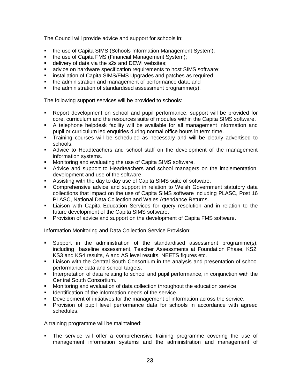The Council will provide advice and support for schools in:

- the use of Capita SIMS (Schools Information Management System);
- the use of Capita FMS (Financial Management System);
- **delivery of data via the s2s and DEWI websites:**
- **EXECT** advice on hardware specification requirements to host SIMS software;
- **EXEDENT INCOCORDITY Installation of Capita SIMS/FMS Upgrades and patches as required;**
- the administration and management of performance data; and
- the administration of standardised assessment programme(s).

The following support services will be provided to schools:

- Report development on school and pupil performance, support will be provided for core, curriculum and the resources suite of modules within the Capita SIMS software.
- A telephone helpdesk facility will be available for all management information and pupil or curriculum led enquiries during normal office hours in term time.
- **Training courses will be scheduled as necessary and will be clearly advertised to** schools.
- Advice to Headteachers and school staff on the development of the management information systems.
- **Monitoring and evaluating the use of Capita SIMS software.**
- Advice and support to Headteachers and school managers on the implementation, development and use of the software.
- Assisting with the day to day use of Capita SIMS suite of software.
- Comprehensive advice and support in relation to Welsh Government statutory data collections that impact on the use of Capita SIMS software including PLASC, Post 16 PLASC, National Data Collection and Wales Attendance Returns.
- Liaison with Capita Education Services for query resolution and in relation to the future development of the Capita SIMS software.
- **Provision of advice and support on the development of Capita FMS software.**

Information Monitoring and Data Collection Service Provision:

- Support in the administration of the standardised assessment programme(s), including baseline assessment, Teacher Assessments at Foundation Phase, KS2, KS3 and KS4 results, A and AS level results, NEETS figures etc.
- **EXECT** Liaison with the Central South Consortium in the analysis and presentation of school performance data and school targets.
- Interpretation of data relating to school and pupil performance, in conjunction with the Central South Consortium.
- Monitoring and evaluation of data collection throughout the education service
- **IDENT** Identification of the information needs of the service.
- Development of initiatives for the management of information across the service.
- Provision of pupil level performance data for schools in accordance with agreed schedules.

A training programme will be maintained:

 The service will offer a comprehensive training programme covering the use of management information systems and the administration and management of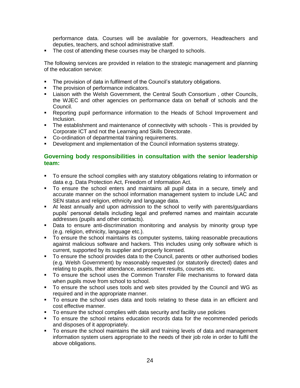performance data. Courses will be available for governors, Headteachers and deputies, teachers, and school administrative staff.

The cost of attending these courses may be charged to schools.

The following services are provided in relation to the strategic management and planning of the education service:

- The provision of data in fulfilment of the Council's statutory obligations.
- The provision of performance indicators.
- Liaison with the Welsh Government, the Central South Consortium , other Councils, the WJEC and other agencies on performance data on behalf of schools and the Council.
- Reporting pupil performance information to the Heads of School Improvement and Inclusion.
- The establishment and maintenance of connectivity with schools This is provided by Corporate ICT and not the Learning and Skills Directorate.
- **-** Co-ordination of departmental training requirements.
- Development and implementation of the Council information systems strategy.

#### **Governing body responsibilities in consultation with the senior leadership team:**

- To ensure the school complies with any statutory obligations relating to information or data e.g. Data Protection Act, Freedom of Information Act.
- To ensure the school enters and maintains all pupil data in a secure, timely and accurate manner on the school information management system to include LAC and SEN status and religion, ethnicity and language data.
- At least annually and upon admission to the school to verify with parents/guardians pupils' personal details including legal and preferred names and maintain accurate addresses (pupils and other contacts).
- Data to ensure anti-discrimination monitoring and analysis by minority group type (e.g. religion, ethnicity, language etc.).
- To ensure the school maintains its computer systems, taking reasonable precautions against malicious software and hackers. This includes using only software which is current, supported by its supplier and properly licensed.
- To ensure the school provides data to the Council, parents or other authorised bodies (e.g. Welsh Government) by reasonably requested (or statutorily directed) dates and relating to pupils, their attendance, assessment results, courses etc.
- To ensure the school uses the Common Transfer File mechanisms to forward data when pupils move from school to school.
- To ensure the school uses tools and web sites provided by the Council and WG as required and in the appropriate manner.
- To ensure the school uses data and tools relating to these data in an efficient and cost effective manner.
- To ensure the school complies with data security and facility use policies
- To ensure the school retains education records data for the recommended periods and disposes of it appropriately.
- To ensure the school maintains the skill and training levels of data and management information system users appropriate to the needs of their job role in order to fulfil the above obligations.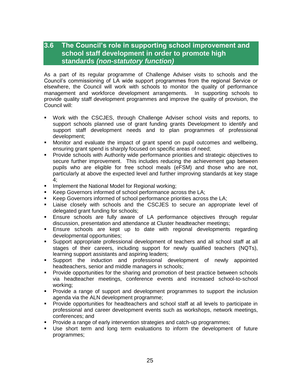## **3.6 The Council's role in supporting school improvement and school staff development in order to promote high standards** *(non-statutory function)*

As a part of its regular programme of Challenge Adviser visits to schools and the Council's commissioning of LA wide support programmes from the regional Service or elsewhere, the Council will work with schools to monitor the quality of performance management and workforce development arrangements. In supporting schools to provide quality staff development programmes and improve the quality of provision, the Council will:

- Work with the CSCJES, through Challenge Adviser school visits and reports, to support schools planned use of grant funding grants Development to identify and support staff development needs and to plan programmes of professional development;
- Monitor and evaluate the impact of grant spend on pupil outcomes and wellbeing, ensuring grant spend is sharply focused on specific areas of need;
- Provide schools with Authority wide performance priorities and strategic objectives to secure further improvement. This includes reducing the achievement gap between pupils who are eligible for free school meals (eFSM) and those who are not, particularly at above the expected level and further improving standards at key stage 4;
- **IMPLEMENT INGOVIDE META** Implement the National Model for Regional working;
- Keep Governors informed of school performance across the LA;
- Keep Governors informed of school performance priorities across the LA;
- Liaise closely with schools and the CSCJES to secure an appropriate level of delegated grant funding for schools;
- Ensure schools are fully aware of LA performance objectives through regular discussion, presentation and attendance at Cluster headteacher meetings;
- Ensure schools are kept up to date with regional developments regarding developmental opportunities;
- Support appropriate professional development of teachers and all school staff at all stages of their careers, including support for newly qualified teachers (NQTs), learning support assistants and aspiring leaders;
- Support the induction and professional development of newly appointed headteachers, senior and middle managers in schools;
- Provide opportunities for the sharing and promotion of best practice between schools via headteacher meetings, conference events and increased school-to-school working;
- Provide a range of support and development programmes to support the inclusion agenda via the ALN development programme;
- Provide opportunities for headteachers and school staff at all levels to participate in professional and career development events such as workshops, network meetings, conferences; and
- **Provide a range of early intervention strategies and catch-up programmes;**
- Use short term and long term evaluations to inform the development of future programmes;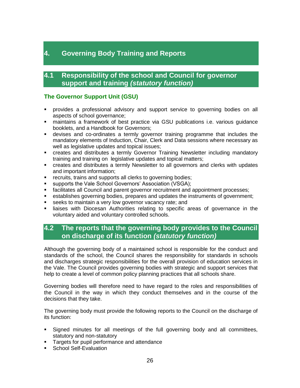## **4. Governing Body Training and Reports**

## **4.1 Responsibility of the school and Council for governor support and training** *(statutory function)*

#### **The Governor Support Unit (GSU)**

- provides a professional advisory and support service to governing bodies on all aspects of school governance;
- maintains a framework of best practice via GSU publications i.e. various guidance booklets, and a Handbook for Governors;
- devises and co-ordinates a termly governor training programme that includes the mandatory elements of Induction, Chair, Clerk and Data sessions where necessary as well as legislative updates and topical issues;
- creates and distributes a termly Governor Training Newsletter including mandatory training and training on legislative updates and topical matters;
- creates and distributes a termly Newsletter to all governors and clerks with updates and important information;
- **F** recruits, trains and supports all clerks to governing bodies;
- **supports the Vale School Governors' Association (VSGA);**
- facilitates all Council and parent governor recruitment and appointment processes;
- establishes governing bodies, prepares and updates the instruments of government;
- **seeks to maintain a very low governor vacancy rate; and**
- **EXEL I** liaises with Diocesan Authorities relating to specific areas of governance in the voluntary aided and voluntary controlled schools.

## **4.2 The reports that the governing body provides to the Council on discharge of its function** *(statutory function)*

Although the governing body of a maintained school is responsible for the conduct and standards of the school, the Council shares the responsibility for standards in schools and discharges strategic responsibilities for the overall provision of education services in the Vale. The Council provides governing bodies with strategic and support services that help to create a level of common policy planning practices that all schools share.

Governing bodies will therefore need to have regard to the roles and responsibilities of the Council in the way in which they conduct themselves and in the course of the decisions that they take.

The governing body must provide the following reports to the Council on the discharge of its function:

- Signed minutes for all meetings of the full governing body and all committees, statutory and non-statutory
- **Targets for pupil performance and attendance**
- **School Self-Evaluation**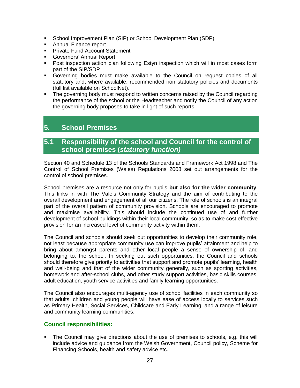- School Improvement Plan (SIP) or School Development Plan (SDP)
- **Annual Finance report**
- **Private Fund Account Statement**
- **Governors' Annual Report**
- Post inspection action plan following Estyn inspection which will in most cases form part of the SIP/SDP
- Governing bodies must make available to the Council on request copies of all statutory and, where available, recommended non statutory policies and documents (full list available on SchoolNet).
- The governing body must respond to written concerns raised by the Council regarding the performance of the school or the Headteacher and notify the Council of any action the governing body proposes to take in light of such reports.

## **5. School Premises**

## **5.1 Responsibility of the school and Council for the control of school premises (***statutory function)*

Section 40 and Schedule 13 of the Schools Standards and Framework Act 1998 and The Control of School Premises (Wales) Regulations 2008 set out arrangements for the control of school premises.

School premises are a resource not only for pupils **but also for the wider community**. This links in with The Vale's Community Strategy and the aim of contributing to the overall development and engagement of all our citizens. The role of schools is an integral part of the overall pattern of community provision. Schools are encouraged to promote and maximise availability. This should include the continued use of and further development of school buildings within their local community, so as to make cost effective provision for an increased level of community activity within them.

The Council and schools should seek out opportunities to develop their community role, not least because appropriate community use can improve pupils' attainment and help to bring about amongst parents and other local people a sense of ownership of, and belonging to, the school. In seeking out such opportunities, the Council and schools should therefore give priority to activities that support and promote pupils' learning, health and well-being and that of the wider community generally, such as sporting activities, homework and after-school clubs, and other study support activities, basic skills courses, adult education, youth service activities and family learning opportunities.

The Council also encourages multi-agency use of school facilities in each community so that adults, children and young people will have ease of access locally to services such as Primary Health, Social Services, Childcare and Early Learning, and a range of leisure and community learning communities.

#### **Council responsibilities:**

• The Council may give directions about the use of premises to schools, e.g. this will include advice and guidance from the Welsh Government, Council policy, Scheme for Financing Schools, health and safety advice etc.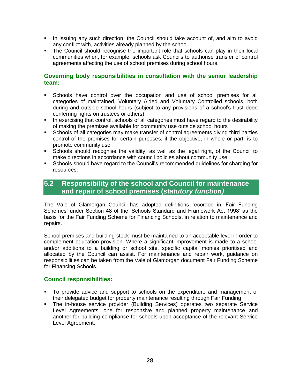- In issuing any such direction, the Council should take account of, and aim to avoid any conflict with, activities already planned by the school.
- The Council should recognise the important role that schools can play in their local communities when, for example, schools ask Councils to authorise transfer of control agreements affecting the use of school premises during school hours.

#### **Governing body responsibilities in consultation with the senior leadership team:**

- Schools have control over the occupation and use of school premises for all categories of maintained, Voluntary Aided and Voluntary Controlled schools, both during and outside school hours (subject to any provisions of a school's trust deed conferring rights on trustees or others)
- In exercising that control, schools of all categories must have regard to the desirability of making the premises available for community use outside school hours
- Schools of all categories may make transfer of control agreements giving third parties control of the premises for certain purposes, if the objective, in whole or part, is to promote community use
- Schools should recognise the validity, as well as the legal right, of the Council to make directions in accordance with council policies about community use
- Schools should have regard to the Council's recommended guidelines for charging for resources.

## **5.2 Responsibility of the school and Council for maintenance and repair of school premises (***statutory function)*

The Vale of Glamorgan Council has adopted definitions recorded in 'Fair Funding Schemes' under Section 48 of the 'Schools Standard and Framework Act 1998' as the basis for the Fair Funding Scheme for Financing Schools, in relation to maintenance and repairs.

School premises and building stock must be maintained to an acceptable level in order to complement education provision. Where a significant improvement is made to a school and/or additions to a building or school site, specific capital monies prioritised and allocated by the Council can assist. For maintenance and repair work, guidance on responsibilities can be taken from the Vale of Glamorgan document Fair Funding Scheme for Financing Schools.

#### **Council responsibilities:**

- To provide advice and support to schools on the expenditure and management of their delegated budget for property maintenance resulting through Fair Funding
- The in-house service provider (Building Services) operates two separate Service Level Agreements; one for responsive and planned property maintenance and another for building compliance for schools upon acceptance of the relevant Service Level Agreement.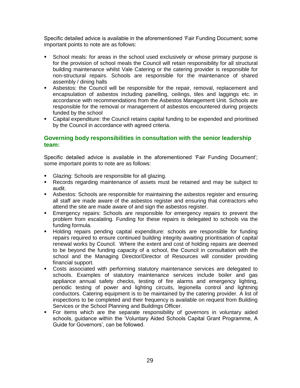Specific detailed advice is available in the aforementioned 'Fair Funding Document; some important points to note are as follows:

- School meals: for areas in the school used exclusively or whose primary purpose is for the provision of school meals the Council will retain responsibility for all structural building maintenance whilst Vale Catering or the catering provider is responsible for non-structural repairs. Schools are responsible for the maintenance of shared assembly / dining halls
- Asbestos: the Council will be responsible for the repair, removal, replacement and encapsulation of asbestos including panelling, ceilings, tiles and laggings etc. in accordance with recommendations from the Asbestos Management Unit. Schools are responsible for the removal or management of asbestos encountered during projects funded by the school
- Capital expenditure: the Council retains capital funding to be expended and prioritised by the Council in accordance with agreed criteria.

#### **Governing body responsibilities in consultation with the senior leadership team:**

Specific detailed advice is available in the aforementioned 'Fair Funding Document'; some important points to note are as follows:

- Glazing: Schools are responsible for all glazing.
- Records regarding maintenance of assets must be retained and may be subject to audit.
- Asbestos: Schools are responsible for maintaining the asbestos register and ensuring all staff are made aware of the asbestos register and ensuring that contractors who attend the site are made aware of and sign the asbestos register.
- Emergency repairs: Schools are responsible for emergency repairs to prevent the problem from escalating. Funding for these repairs is delegated to schools via the funding formula.
- Holding repairs pending capital expenditure: schools are responsible for funding repairs required to ensure continued building integrity awaiting prioritisation of capital renewal works by Council. Where the extent and cost of holding repairs are deemed to be beyond the funding capacity of a school, the Council in consultation with the school and the Managing Director/Director of Resources will consider providing financial support.
- Costs associated with performing statutory maintenance services are delegated to schools. Examples of statutory maintenance services include boiler and gas appliance annual safety checks, testing of fire alarms and emergency lighting, periodic testing of power and lighting circuits, legionella control and lightning conductors. Catering equipment is to be maintained by the catering provider. A list of inspections to be completed and their frequency is available on request from Building Services or the School Planning and Buildings Officer.
- For items which are the separate responsibility of governors in voluntary aided schools, guidance within the 'Voluntary Aided Schools Capital Grant Programme, A Guide for Governors', can be followed.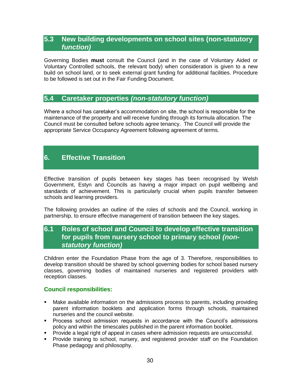## **5.3 New building developments on school sites (non-statutory**  *function)*

Governing Bodies **must** consult the Council (and in the case of Voluntary Aided or Voluntary Controlled schools, the relevant body) when consideration is given to a new build on school land, or to seek external grant funding for additional facilities. Procedure to be followed is set out in the Fair Funding Document.

## **5.4 Caretaker properties** *(non-statutory function)*

Where a school has caretaker's accommodation on site, the school is responsible for the maintenance of the property and will receive funding through its formula allocation. The Council must be consulted before schools agree tenancy. The Council will provide the appropriate Service Occupancy Agreement following agreement of terms.

## **6. Effective Transition**

Effective transition of pupils between key stages has been recognised by Welsh Government, Estyn and Councils as having a major impact on pupil wellbeing and standards of achievement. This is particularly crucial when pupils transfer between schools and learning providers.

The following provides an outline of the roles of schools and the Council, working in partnership, to ensure effective management of transition between the key stages.

## **6.1 Roles of school and Council to develop effective transition for pupils from nursery school to primary school** *(nonstatutory function)*

Children enter the Foundation Phase from the age of 3. Therefore, responsibilities to develop transition should be shared by school governing bodies for school based nursery classes, governing bodies of maintained nurseries and registered providers with reception classes.

#### **Council responsibilities:**

- Make available information on the admissions process to parents, including providing parent information booklets and application forms through schools, maintained nurseries and the council website.
- **Process school admission requests in accordance with the Council's admissions** policy and within the timescales published in the parent information booklet.
- Provide a legal right of appeal in cases where admission requests are unsuccessful.
- **Provide training to school, nursery, and registered provider staff on the Foundation** Phase pedagogy and philosophy.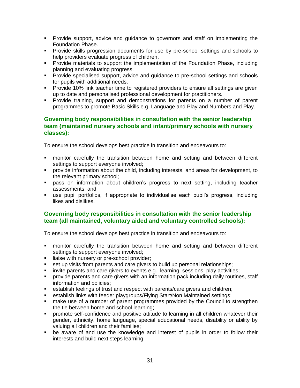- Provide support, advice and guidance to governors and staff on implementing the Foundation Phase.
- Provide skills progression documents for use by pre-school settings and schools to help providers evaluate progress of children.
- **Provide materials to support the implementation of the Foundation Phase, including** planning and evaluating progress.
- **Provide specialised support, advice and guidance to pre-school settings and schools** for pupils with additional needs.
- **Provide 10% link teacher time to registered providers to ensure all settings are given** up to date and personalised professional development for practitioners.
- Provide training, support and demonstrations for parents on a number of parent programmes to promote Basic Skills e.g. Language and Play and Numbers and Play.

#### **Governing body responsibilities in consultation with the senior leadership team (maintained nursery schools and infant/primary schools with nursery classes):**

To ensure the school develops best practice in transition and endeavours to:

- monitor carefully the transition between home and setting and between different settings to support everyone involved;
- provide information about the child, including interests, and areas for development, to the relevant primary school;
- pass on information about children's progress to next setting, including teacher assessments; and
- use pupil portfolios, if appropriate to individualise each pupil's progress, including likes and dislikes.

#### **Governing body responsibilities in consultation with the senior leadership team (all maintained, voluntary aided and voluntary controlled schools):**

To ensure the school develops best practice in transition and endeavours to:

- monitor carefully the transition between home and setting and between different settings to support everyone involved;
- **I** liaise with nursery or pre-school provider;
- set up visits from parents and care givers to build up personal relationships;
- invite parents and care givers to events e.g. learning sessions, play activities;
- provide parents and care givers with an information pack including daily routines, staff information and policies;
- establish feelings of trust and respect with parents/care givers and children;
- establish links with feeder playgroups/Flying Start/Non Maintained settings;
- make use of a number of parent programmes provided by the Council to strengthen the tie between home and school learning;
- promote self-confidence and positive attitude to learning in all children whatever their gender, ethnicity, home language, special educational needs, disability or ability by valuing all children and their families;
- be aware of and use the knowledge and interest of pupils in order to follow their interests and build next steps learning;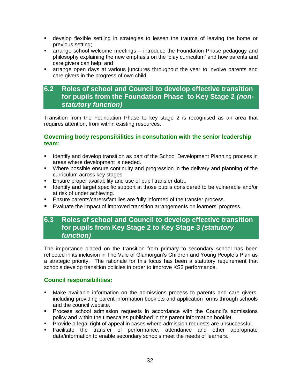- develop flexible settling in strategies to lessen the trauma of leaving the home or previous setting;
- arrange school welcome meetings introduce the Foundation Phase pedagogy and philosophy explaining the new emphasis on the 'play curriculum' and how parents and care givers can help; and
- arrange open days at various junctures throughout the year to involve parents and care givers in the progress of own child.

## **6.2 Roles of school and Council to develop effective transition for pupils from the Foundation Phase to Key Stage 2** *(nonstatutory function)*

Transition from the Foundation Phase to key stage 2 is recognised as an area that requires attention, from within existing resources.

#### **Governing body responsibilities in consultation with the senior leadership team:**

- **If Identify and develop transition as part of the School Development Planning process in** areas where development is needed.
- Where possible ensure continuity and progression in the delivery and planning of the curriculum across key stages.
- **Ensure proper availability and use of pupil transfer data.**
- **IDENTIFY And alterate Specific support at those pupils considered to be vulnerable and/or** at risk of under achieving.
- **Ensure parents/carers/families are fully informed of the transfer process.**
- Evaluate the impact of improved transition arrangements on learners' progress.

## **6.3 Roles of school and Council to develop effective transition for pupils from Key Stage 2 to Key Stage 3** *(statutory function)*

The importance placed on the transition from primary to secondary school has been reflected in its inclusion in The Vale of Glamorgan's Children and Young People's Plan as a strategic priority. The rationale for this focus has been a statutory requirement that schools develop transition policies in order to improve KS3 performance.

## **Council responsibilities:**

- Make available information on the admissions process to parents and care givers, including providing parent information booklets and application forms through schools and the council website.
- **Process school admission requests in accordance with the Council's admissions** policy and within the timescales published in the parent information booklet.
- **Provide a legal right of appeal in cases where admission requests are unsuccessful.**
- Facilitate the transfer of performance, attendance and other appropriate data/information to enable secondary schools meet the needs of learners.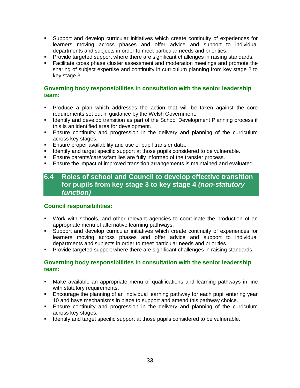- Support and develop curricular initiatives which create continuity of experiences for learners moving across phases and offer advice and support to individual departments and subjects in order to meet particular needs and priorities.
- **Provide targeted support where there are significant challenges in raising standards.**
- Facilitate cross phase cluster assessment and moderation meetings and promote the sharing of subject expertise and continuity in curriculum planning from key stage 2 to key stage 3.

#### **Governing body responsibilities in consultation with the senior leadership team:**

- Produce a plan which addresses the action that will be taken against the core requirements set out in guidance by the Welsh Government.
- Identify and develop transition as part of the School Development Planning process if this is an identified area for development.
- **Ensure continuity and progression in the delivery and planning of the curriculum** across key stages.
- **Ensure proper availability and use of pupil transfer data.**
- I dentify and target specific support at those pupils considered to be vulnerable.
- Ensure parents/carers/families are fully informed of the transfer process.
- Ensure the impact of improved transition arrangements is maintained and evaluated.

## **6.4 Roles of school and Council to develop effective transition for pupils from key stage 3 to key stage 4** *(non-statutory function)*

#### **Council responsibilities:**

- Work with schools, and other relevant agencies to coordinate the production of an appropriate menu of alternative learning pathways.
- Support and develop curricular initiatives which create continuity of experiences for learners moving across phases and offer advice and support to individual departments and subjects in order to meet particular needs and priorities.
- **Provide targeted support where there are significant challenges in raising standards.**

#### **Governing body responsibilities in consultation with the senior leadership team:**

- Make available an appropriate menu of qualifications and learning pathways in line with statutory requirements.
- Encourage the planning of an individual learning pathway for each pupil entering year 10 and have mechanisms in place to support and amend this pathway choice.
- Ensure continuity and progression in the delivery and planning of the curriculum across key stages.
- **IDENTIFY 19 IDENTIFY And target specific support at those pupils considered to be vulnerable.**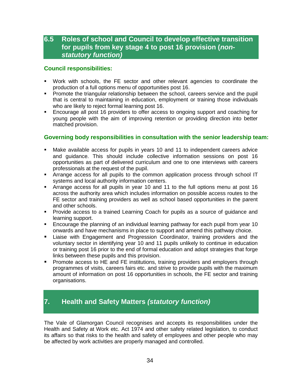## **6.5 Roles of school and Council to develop effective transition for pupils from key stage 4 to post 16 provision (***nonstatutory function)*

#### **Council responsibilities:**

- Work with schools, the FE sector and other relevant agencies to coordinate the production of a full options menu of opportunities post 16.
- **Promote the triangular relationship between the school, careers service and the pupil** that is central to maintaining in education, employment or training those individuals who are likely to reject formal learning post 16.
- Encourage all post 16 providers to offer access to ongoing support and coaching for young people with the aim of improving retention or providing direction into better matched provision.

#### **Governing body responsibilities in consultation with the senior leadership team:**

- Make available access for pupils in years 10 and 11 to independent careers advice and guidance. This should include collective information sessions on post 16 opportunities as part of delivered curriculum and one to one interviews with careers professionals at the request of the pupil.
- Arrange access for all pupils to the common application process through school IT systems and local authority information centers.
- Arrange access for all pupils in year 10 and 11 to the full options menu at post 16 across the authority area which includes information on possible access routes to the FE sector and training providers as well as school based opportunities in the parent and other schools.
- Provide access to a trained Learning Coach for pupils as a source of guidance and learning support.
- Encourage the planning of an individual learning pathway for each pupil from year 10 onwards and have mechanisms in place to support and amend this pathway choice.
- **Example 2** Liaise with Engagement and Progression Coordinator, training providers and the voluntary sector in identifying year 10 and 11 pupils unlikely to continue in education or training post 16 prior to the end of formal education and adopt strategies that forge links between these pupils and this provision.
- **Promote access to HE and FE institutions, training providers and employers through** programmes of visits, careers fairs etc. and strive to provide pupils with the maximum amount of information on post 16 opportunities in schools, the FE sector and training organisations.

## **7. Health and Safety Matters** *(statutory function)*

The Vale of Glamorgan Council recognises and accepts its responsibilities under the Health and Safety at Work etc. Act 1974 and other safety related legislation, to conduct its affairs so that risks to the health and safety of employees and other people who may be affected by work activities are properly managed and controlled.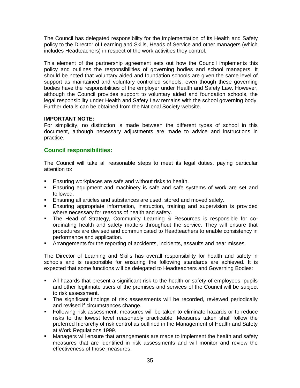The Council has delegated responsibility for the implementation of its Health and Safety policy to the Director of Learning and Skills, Heads of Service and other managers (which includes Headteachers) in respect of the work activities they control.

This element of the partnership agreement sets out how the Council implements this policy and outlines the responsibilities of governing bodies and school managers. It should be noted that voluntary aided and foundation schools are given the same level of support as maintained and voluntary controlled schools, even though these governing bodies have the responsibilities of the employer under Health and Safety Law. However, although the Council provides support to voluntary aided and foundation schools, the legal responsibility under Health and Safety Law remains with the school governing body. Further details can be obtained from the National Society website.

#### **IMPORTANT NOTE:**

For simplicity, no distinction is made between the different types of school in this document, although necessary adjustments are made to advice and instructions in practice.

#### **Council responsibilities:**

The Council will take all reasonable steps to meet its legal duties, paying particular attention to:

- **Ensuring workplaces are safe and without risks to health.**
- Ensuring equipment and machinery is safe and safe systems of work are set and followed.
- **Ensuring all articles and substances are used, stored and moved safely.**
- Ensuring appropriate information, instruction, training and supervision is provided where necessary for reasons of health and safety.
- The Head of Strategy, Community Learning & Resources is responsible for coordinating health and safety matters throughout the service. They will ensure that procedures are devised and communicated to Headteachers to enable consistency in performance and application.
- Arrangements for the reporting of accidents, incidents, assaults and near misses.

The Director of Learning and Skills has overall responsibility for health and safety in schools and is responsible for ensuring the following standards are achieved. It is expected that some functions will be delegated to Headteachers and Governing Bodies:

- All hazards that present a significant risk to the health or safety of employees, pupils and other legitimate users of the premises and services of the Council will be subject to risk assessment.
- The significant findings of risk assessments will be recorded, reviewed periodically and revised if circumstances change.
- Following risk assessment, measures will be taken to eliminate hazards or to reduce risks to the lowest level reasonably practicable. Measures taken shall follow the preferred hierarchy of risk control as outlined in the Management of Health and Safety at Work Regulations 1999.
- Managers will ensure that arrangements are made to implement the health and safety measures that are identified in risk assessments and will monitor and review the effectiveness of those measures.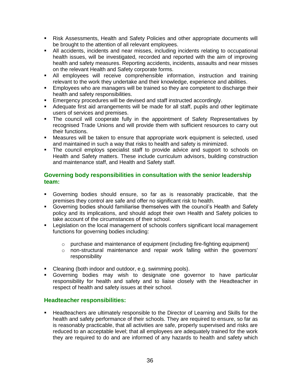- Risk Assessments, Health and Safety Policies and other appropriate documents will be brought to the attention of all relevant employees.
- All accidents, incidents and near misses, including incidents relating to occupational health issues, will be investigated, recorded and reported with the aim of improving health and safety measures. Reporting accidents, incidents, assaults and near misses on the relevant Health and Safety corporate forms.
- All employees will receive comprehensible information, instruction and training relevant to the work they undertake and their knowledge, experience and abilities.
- **Employees who are managers will be trained so they are competent to discharge their** health and safety responsibilities.
- **Emergency procedures will be devised and staff instructed accordingly.**
- Adequate first aid arrangements will be made for all staff, pupils and other legitimate users of services and premises.
- The council will cooperate fully in the appointment of Safety Representatives by recognised Trade Unions and will provide them with sufficient resources to carry out their functions.
- Measures will be taken to ensure that appropriate work equipment is selected, used and maintained in such a way that risks to health and safety is minimized.
- The council employs specialist staff to provide advice and support to schools on Health and Safety matters. These include curriculum advisors, building construction and maintenance staff, and Health and Safety staff.

#### **Governing body responsibilities in consultation with the senior leadership team:**

- Governing bodies should ensure, so far as is reasonably practicable, that the premises they control are safe and offer no significant risk to health.
- Governing bodies should familiarise themselves with the council's Health and Safety policy and its implications, and should adopt their own Health and Safety policies to take account of the circumstances of their school.
- **Example 1** Legislation on the local management of schools confers significant local management functions for governing bodies including:
	- $\circ$  purchase and maintenance of equipment (including fire-fighting equipment)
	- $\circ$  non-structural maintenance and repair work falling within the governors' responsibility
- Cleaning (both indoor and outdoor, e.g. swimming pools).
- Governing bodies may wish to designate one governor to have particular responsibility for health and safety and to liaise closely with the Headteacher in respect of health and safety issues at their school.

#### **Headteacher responsibilities:**

**Headteachers are ultimately responsible to the Director of Learning and Skills for the** health and safety performance of their schools. They are required to ensure, so far as is reasonably practicable, that all activities are safe, properly supervised and risks are reduced to an acceptable level; that all employees are adequately trained for the work they are required to do and are informed of any hazards to health and safety which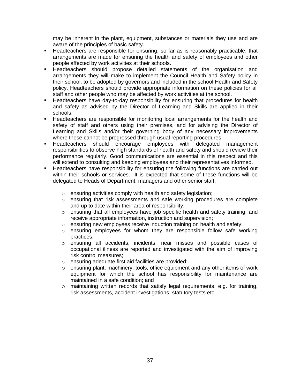may be inherent in the plant, equipment, substances or materials they use and are aware of the principles of basic safety.

- **Headteachers are responsible for ensuring, so far as is reasonably practicable, that** arrangements are made for ensuring the health and safety of employees and other people affected by work activities at their schools.
- Headteachers should propose detailed statements of the organisation and arrangements they will make to implement the Council Health and Safety policy in their school, to be adopted by governors and included in the school Health and Safety policy. Headteachers should provide appropriate information on these policies for all staff and other people who may be affected by work activities at the school.
- Headteachers have day-to-day responsibility for ensuring that procedures for health and safety as advised by the Director of Learning and Skills are applied in their schools.
- Headteachers are responsible for monitoring local arrangements for the health and safety of staff and others using their premises, and for advising the Director of Learning and Skills and/or their governing body of any necessary improvements where these cannot be progressed through usual reporting procedures.
- Headteachers should encourage employees with delegated management responsibilities to observe high standards of health and safety and should review their performance regularly. Good communications are essential in this respect and this will extend to consulting and keeping employees and their representatives informed.
- **EXED** Headteachers have responsibility for ensuring the following functions are carried out within their schools or services. It is expected that some of these functions will be delegated to Heads of Department, managers and other senior staff:
	- o ensuring activities comply with health and safety legislation;
	- $\circ$  ensuring that risk assessments and safe working procedures are complete and up to date within their area of responsibility;
	- $\circ$  ensuring that all employees have job specific health and safety training, and receive appropriate information, instruction and supervision;
	- o ensuring new employees receive induction training on health and safety;
	- $\circ$  ensuring employees for whom they are responsible follow safe working practices;
	- o ensuring all accidents, incidents, near misses and possible cases of occupational illness are reported and investigated with the aim of improving risk control measures;
	- o ensuring adequate first aid facilities are provided;
	- $\circ$  ensuring plant, machinery, tools, office equipment and any other items of work equipment for which the school has responsibility for maintenance are maintained in a safe condition; and
	- $\circ$  maintaining written records that satisfy legal requirements, e.g. for training, risk assessments, accident investigations, statutory tests etc.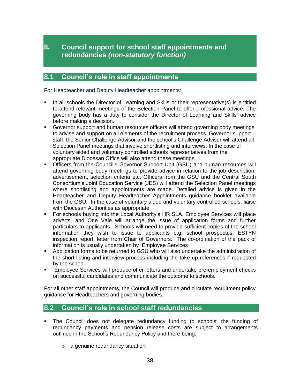## **8.1 Council's role in staff appointments**

For Headteacher and Deputy Headteacher appointments:

- In all schools the Director of Learning and Skills or their representative(s) is entitled to attend relevant meetings of the Selection Panel to offer professional advice. The governing body has a duty to consider the Director of Learning and Skills' advice before making a decision.
- Governor support and human resources officers will attend governing body meetings to advise and support on all elements of the recruitment process. Governor support staff, the Senior Challenge Advisor and the school's Challenge Adviser will attend all Selection Panel meetings that involve shortlisting and interviews. In the case of voluntary aided and voluntary controlled schools representatives from the appropriate Diocesan Office will also attend these meetings.
- Officers from the Council's Governor Support Unit (GSU) and human resources will attend governing body meetings to provide advice in relation to the job description, advertisement, selection criteria etc. Officers from the GSU and the Central South Consortium's Joint Education Service (JES) will attend the Selection Panel meetings where shortlisting and appointments are made. Detailed advice is given in the Headteacher and Deputy Headteacher Appointments guidance booklet available from the GSU. In the case of voluntary aided and voluntary controlled schools, liaise with Diocesan Authorities as appropriate.
- For schools buying into the Local Authority's HR SLA, Employee Services will place adverts, and One Vale will arrange the issue of application forms and further particulars to applicants. Schools will need to provide sufficient copies of the school information they wish to issue to applicants e.g. school prospectus, ESTYN inspection report, letter from Chair of Governors. The co-ordination of the pack of information is usually undertaken by Employee Services
- Application forms to be returned to GSU who will also undertake the administration of the short listing and interview process including the take up references if requested by the school.
- **Employee Services will produce offer letters and undertake pre-employment checks** on successful candidates and communicate the outcome to schools.

For all other staff appointments, the Council will produce and circulate recruitment policy guidance for Headteachers and governing bodies.

## **8.2 Council's role in school staff redundancies**

- The Council does not delegate redundancy funding to schools; the funding of redundancy payments and pension release costs are subject to arrangements outlined in the School's Redundancy Policy and there being:
	- o a genuine redundancy situation;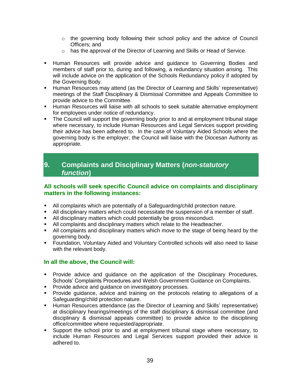- $\circ$  the governing body following their school policy and the advice of Council Officers; and
- $\circ$  has the approval of the Director of Learning and Skills or Head of Service.
- Human Resources will provide advice and guidance to Governing Bodies and members of staff prior to, during and following, a redundancy situation arising. This will include advice on the application of the Schools Redundancy policy if adopted by the Governing Body.
- Human Resources may attend (as the Director of Learning and Skills' representative) meetings of the Staff Disciplinary & Dismissal Committee and Appeals Committee to provide advice to the Committee.
- Human Resources will liaise with all schools to seek suitable alternative employment for employees under notice of redundancy.
- The Council will support the governing body prior to and at employment tribunal stage where necessary, to include Human Resources and Legal Services support providing their advice has been adhered to. In the case of Voluntary Aided Schools where the governing body is the employer, the Council will liaise with the Diocesan Authority as appropriate.

## **9. Complaints and Disciplinary Matters (***non-statutory function***)**

#### **All schools will seek specific Council advice on complaints and disciplinary matters in the following instances:**

- All complaints which are potentially of a Safeguarding/child protection nature.
- All disciplinary matters which could necessitate the suspension of a member of staff.
- All disciplinary matters which could potentially be gross misconduct.
- All complaints and disciplinary matters which relate to the Headteacher.
- All complaints and disciplinary matters which move to the stage of being heard by the governing body.
- Foundation, Voluntary Aided and Voluntary Controlled schools will also need to liaise with the relevant body.

#### **In all the above, the Council will:**

- **Provide advice and guidance on the application of the Disciplinary Procedures,** Schools' Complaints Procedures and Welsh Government Guidance on Complaints.
- **Provide advice and guidance on investigatory processes.**
- Provide guidance, advice and training on the protocols relating to allegations of a Safeguarding/child protection nature.
- Human Resources attendance (as the Director of Learning and Skills' representative) at disciplinary hearings/meetings of the staff disciplinary & dismissal committee (and disciplinary & dismissal appeals committee) to provide advice to the disciplining office/committee where requested/appropriate.
- Support the school prior to and at employment tribunal stage where necessary, to include Human Resources and Legal Services support provided their advice is adhered to.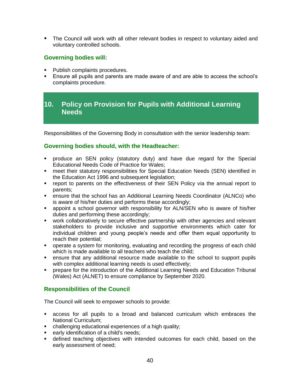The Council will work with all other relevant bodies in respect to voluntary aided and voluntary controlled schools.

#### **Governing bodies will:**

- Publish complaints procedures.
- Ensure all pupils and parents are made aware of and are able to access the school's complaints procedure.

## **10. Policy on Provision for Pupils with Additional Learning Needs**

Responsibilities of the Governing Body in consultation with the senior leadership team:

#### **Governing bodies should, with the Headteacher:**

- produce an SEN policy (statutory duty) and have due regard for the Special Educational Needs Code of Practice for Wales;
- meet their statutory responsibilities for Special Education Needs (SEN) identified in the Education Act 1996 and subsequent legislation;
- report to parents on the effectiveness of their SEN Policy via the annual report to parents;
- ensure that the school has an Additional Learning Needs Coordinator (ALNCo) who is aware of his/her duties and performs these accordingly;
- appoint a school governor with responsibility for ALN/SEN who is aware of his/her duties and performing these accordingly;
- work collaboratively to secure effective partnership with other agencies and relevant stakeholders to provide inclusive and supportive environments which cater for individual children and young people's needs and offer them equal opportunity to reach their potential;
- operate a system for monitoring, evaluating and recording the progress of each child which is made available to all teachers who teach the child;
- ensure that any additional resource made available to the school to support pupils with complex additional learning needs is used effectively;
- prepare for the introduction of the Additional Learning Needs and Education Tribunal (Wales) Act (ALNET) to ensure compliance by September 2020.

## **Responsibilities of the Council**

The Council will seek to empower schools to provide:

- access for all pupils to a broad and balanced curriculum which embraces the National Curriculum;
- challenging educational experiences of a high quality;
- **EXEC** early identification of a child's needs;
- defined teaching objectives with intended outcomes for each child, based on the early assessment of need;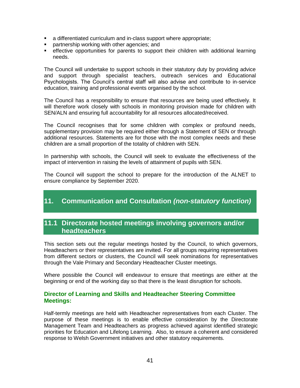- a differentiated curriculum and in-class support where appropriate;
- **Partnership working with other agencies; and**
- effective opportunities for parents to support their children with additional learning needs.

The Council will undertake to support schools in their statutory duty by providing advice and support through specialist teachers, outreach services and Educational Psychologists. The Council's central staff will also advise and contribute to in-service education, training and professional events organised by the school.

The Council has a responsibility to ensure that resources are being used effectively. It will therefore work closely with schools in monitoring provision made for children with SEN/ALN and ensuring full accountability for all resources allocated/received.

The Council recognises that for some children with complex or profound needs, supplementary provision may be required either through a Statement of SEN or through additional resources. Statements are for those with the most complex needs and these children are a small proportion of the totality of children with SEN.

In partnership with schools, the Council will seek to evaluate the effectiveness of the impact of intervention in raising the levels of attainment of pupils with SEN.

The Council will support the school to prepare for the introduction of the ALNET to ensure compliance by September 2020.

## **11. Communication and Consultation** *(non-statutory function)*

## **11.1 Directorate hosted meetings involving governors and/or headteachers**

This section sets out the regular meetings hosted by the Council, to which governors, Headteachers or their representatives are invited. For all groups requiring representatives from different sectors or clusters, the Council will seek nominations for representatives through the Vale Primary and Secondary Headteacher Cluster meetings.

Where possible the Council will endeavour to ensure that meetings are either at the beginning or end of the working day so that there is the least disruption for schools.

#### **Director of Learning and Skills and Headteacher Steering Committee Meetings:**

Half-termly meetings are held with Headteacher representatives from each Cluster. The purpose of these meetings is to enable effective consideration by the Directorate Management Team and Headteachers as progress achieved against identified strategic priorities for Education and Lifelong Learning. Also, to ensure a coherent and considered response to Welsh Government initiatives and other statutory requirements.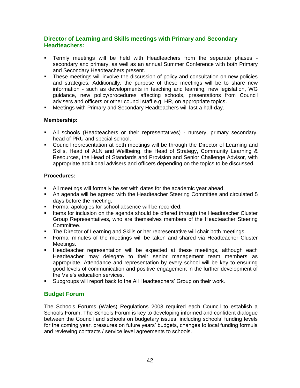#### **Director of Learning and Skills meetings with Primary and Secondary Headteachers:**

- Termly meetings will be held with Headteachers from the separate phases secondary and primary, as well as an annual Summer Conference with both Primary and Secondary Headteachers present.
- These meetings will involve the discussion of policy and consultation on new policies and strategies. Additionally, the purpose of these meetings will be to share new information - such as developments in teaching and learning, new legislation, WG guidance, new policy/procedures affecting schools, presentations from Council advisers and officers or other council staff e.g. HR, on appropriate topics.
- Meetings with Primary and Secondary Headteachers will last a half-day.

#### **Membership:**

- All schools (Headteachers or their representatives) nursery, primary secondary, head of PRU and special school.
- Council representation at both meetings will be through the Director of Learning and Skills, Head of ALN and Wellbeing, the Head of Strategy, Community Learning & Resources, the Head of Standards and Provision and Senior Challenge Advisor, with appropriate additional advisers and officers depending on the topics to be discussed.

#### **Procedures:**

- All meetings will formally be set with dates for the academic year ahead.
- An agenda will be agreed with the Headteacher Steering Committee and circulated 5 days before the meeting.
- **Formal apologies for school absence will be recorded.**
- **Items for inclusion on the agenda should be offered through the Headteacher Cluster** Group Representatives, who are themselves members of the Headteacher Steering Committee.
- The Director of Learning and Skills or her representative will chair both meetings.
- Formal minutes of the meetings will be taken and shared via Headteacher Cluster Meetings.
- **Headteacher representation will be expected at these meetings, although each** Headteacher may delegate to their senior management team members as appropriate. Attendance and representation by every school will be key to ensuring good levels of communication and positive engagement in the further development of the Vale's education services.
- Subgroups will report back to the All Headteachers' Group on their work.

#### **Budget Forum**

The Schools Forums (Wales) Regulations 2003 required each Council to establish a Schools Forum. The Schools Forum is key to developing informed and confident dialogue between the Council and schools on budgetary issues, including schools' funding levels for the coming year, pressures on future years' budgets, changes to local funding formula and reviewing contracts / service level agreements to schools.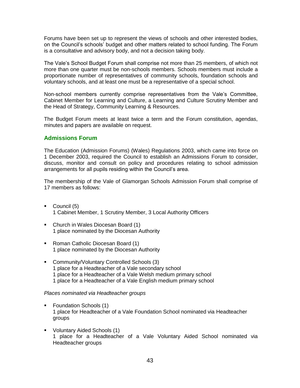Forums have been set up to represent the views of schools and other interested bodies, on the Council's schools' budget and other matters related to school funding. The Forum is a consultative and advisory body, and not a decision taking body.

The Vale's School Budget Forum shall comprise not more than 25 members, of which not more than one quarter must be non-schools members. Schools members must include a proportionate number of representatives of community schools, foundation schools and voluntary schools, and at least one must be a representative of a special school.

Non-school members currently comprise representatives from the Vale's Committee, Cabinet Member for Learning and Culture, a Learning and Culture Scrutiny Member and the Head of Strategy, Community Learning & Resources.

The Budget Forum meets at least twice a term and the Forum constitution, agendas, minutes and papers are available on request.

#### **Admissions Forum**

The Education (Admission Forums) (Wales) Regulations 2003, which came into force on 1 December 2003, required the Council to establish an Admissions Forum to consider, discuss, monitor and consult on policy and procedures relating to school admission arrangements for all pupils residing within the Council's area.

The membership of the Vale of Glamorgan Schools Admission Forum shall comprise of 17 members as follows:

- Council (5) 1 Cabinet Member, 1 Scrutiny Member, 3 Local Authority Officers
- Church in Wales Diocesan Board (1) 1 place nominated by the Diocesan Authority
- Roman Catholic Diocesan Board (1) 1 place nominated by the Diocesan Authority
- **Community/Voluntary Controlled Schools (3)** 1 place for a Headteacher of a Vale secondary school 1 place for a Headteacher of a Vale Welsh medium primary school 1 place for a Headteacher of a Vale English medium primary school

#### *Places nominated via Headteacher groups*

- Foundation Schools (1) 1 place for Headteacher of a Vale Foundation School nominated via Headteacher groups
- Voluntary Aided Schools (1) 1 place for a Headteacher of a Vale Voluntary Aided School nominated via Headteacher groups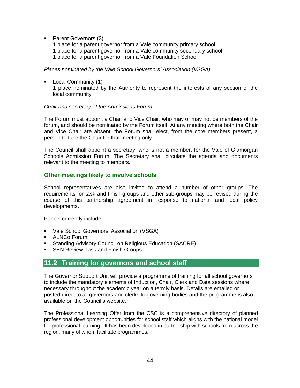**Parent Governors (3)** 

1 place for a parent governor from a Vale community primary school 1 place for a parent governor from a Vale community secondary school 1 place for a parent governor from a Vale Foundation School

*Places nominated by the Vale School Governors' Association (VSGA)*

**Local Community (1)** 1 place nominated by the Authority to represent the interests of any section of the local community

#### *Chair and secretary of the Admissions Forum*

The Forum must appoint a Chair and Vice Chair, who may or may not be members of the forum, and should be nominated by the Forum itself. At any meeting where both the Chair and Vice Chair are absent, the Forum shall elect, from the core members present, a person to take the Chair for that meeting only.

The Council shall appoint a secretary, who is not a member, for the Vale of Glamorgan Schools Admission Forum. The Secretary shall circulate the agenda and documents relevant to the meeting to members.

#### **Other meetings likely to involve schools**

School representatives are also invited to attend a number of other groups. The requirements for task and finish groups and other sub-groups may be revised during the course of this partnership agreement in response to national and local policy developments.

Panels currently include:

- Vale School Governors' Association (VSGA)
- ALNCo Forum
- **Standing Advisory Council on Religious Education (SACRE)**
- **SEN Review Task and Finish Groups**

## **11.2 Training for governors and school staff**

The Governor Support Unit will provide a programme of training for all school governors to include the mandatory elements of Induction, Chair, Clerk and Data sessions where necessary throughout the academic year on a termly basis. Details are emailed or posted direct to all governors and clerks to governing bodies and the programme is also available on the Council's website.

The Professional Learning Offer from the CSC is a comprehensive directory of planned professional development opportunities for school staff which aligns with the national model for professional learning. It has been developed in partnership with schools from across the region, many of whom facilitate programmes.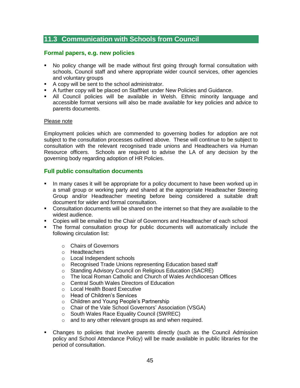## **11.3 Communication with Schools from Council**

#### **Formal papers, e.g. new policies**

- No policy change will be made without first going through formal consultation with schools, Council staff and where appropriate wider council services, other agencies and voluntary groups
- A copy will be sent to the school administrator.
- A further copy will be placed on StaffNet under New Policies and Guidance.
- All Council policies will be available in Welsh. Ethnic minority language and accessible format versions will also be made available for key policies and advice to parents documents.

#### Please note

Employment policies which are commended to governing bodies for adoption are not subject to the consultation processes outlined above. These will continue to be subject to consultation with the relevant recognised trade unions and Headteachers via Human Resource officers. Schools are required to advise the LA of any decision by the governing body regarding adoption of HR Policies.

#### **Full public consultation documents**

- In many cases it will be appropriate for a policy document to have been worked up in a small group or working party and shared at the appropriate Headteacher Steering Group and/or Headteacher meeting before being considered a suitable draft document for wider and formal consultation.
- Consultation documents will be shared on the internet so that they are available to the widest audience.
- Copies will be emailed to the Chair of Governors and Headteacher of each school
- The formal consultation group for public documents will automatically include the following circulation list:
	- o Chairs of Governors
	- o Headteachers
	- o Local Independent schools
	- o Recognised Trade Unions representing Education based staff
	- o Standing Advisory Council on Religious Education (SACRE)
	- o The local Roman Catholic and Church of Wales Archdiocesan Offices
	- o Central South Wales Directors of Education
	- o Local Health Board Executive
	- o Head of Children's Services
	- o Children and Young People's Partnership
	- o Chair of the Vale School Governors' Association (VSGA)
	- o South Wales Race Equality Council (SWREC)
	- o and to any other relevant groups as and when required.
- Changes to policies that involve parents directly (such as the Council Admission policy and School Attendance Policy) will be made available in public libraries for the period of consultation.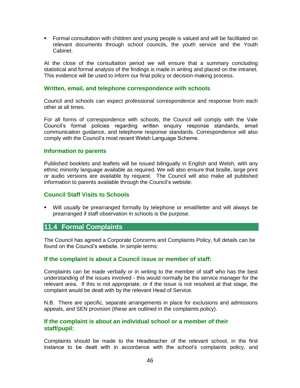Formal consultation with children and young people is valued and will be facilitated on relevant documents through school councils, the youth service and the Youth Cabinet.

At the close of the consultation period we will ensure that a summary concluding statistical and formal analysis of the findings is made in writing and placed on the intranet. This evidence will be used to inform our final policy or decision-making process.

#### **Written, email, and telephone correspondence with schools**

Council and schools can expect professional correspondence and response from each other at all times.

For all forms of correspondence with schools, the Council will comply with the Vale Council's formal policies regarding written enquiry response standards, email communication guidance, and telephone response standards. Correspondence will also comply with the Council's most recent Welsh Language Scheme.

#### **Information to parents**

Published booklets and leaflets will be issued bilingually in English and Welsh, with any ethnic minority language available as required. We will also ensure that braille, large print or audio versions are available by request. The Council will also make all published information to parents available through the Council's website.

#### **Council Staff Visits to Schools**

 Will usually be prearranged formally by telephone or email/letter and will always be prearranged if staff observation in schools is the purpose.

#### **11.4 Formal Complaints**

The Council has agreed a Corporate Concerns and Complaints Policy, full details can be found on the Council's website. In simple terms:

#### **If the complaint is about a Council issue or member of staff:**

Complaints can be made verbally or in writing to the member of staff who has the best understanding of the issues involved - this would normally be the service manager for the relevant area. If this is not appropriate, or if the issue is not resolved at that stage, the complaint would be dealt with by the relevant Head of Service.

N.B. There are specific, separate arrangements in place for exclusions and admissions appeals, and SEN provision (these are outlined in the complaints policy).

#### **If the complaint is about an individual school or a member of their staff/pupil:**

Complaints should be made to the Headteacher of the relevant school, in the first instance to be dealt with in accordance with the school's complaints policy, and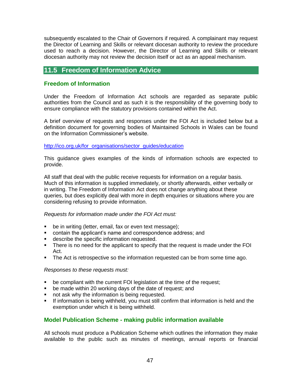subsequently escalated to the Chair of Governors if required. A complainant may request the Director of Learning and Skills or relevant diocesan authority to review the procedure used to reach a decision. However, the Director of Learning and Skills or relevant diocesan authority may not review the decision itself or act as an appeal mechanism.

## **11.5 Freedom of Information Advice**

#### **Freedom of Information**

Under the Freedom of Information Act schools are regarded as separate public authorities from the Council and as such it is the responsibility of the governing body to ensure compliance with the statutory provisions contained within the Act.

A brief overview of requests and responses under the FOI Act is included below but a definition document for governing bodies of Maintained Schools in Wales can be found on the Information Commissioner's website.

#### [http://ico.org.uk/for\\_organisations/sector\\_guides/education](http://ico.org.uk/for_organisations/sector_guides/education)

This guidance gives examples of the kinds of information schools are expected to provide.

All staff that deal with the public receive requests for information on a regular basis. Much of this information is supplied immediately, or shortly afterwards, either verbally or in writing. The Freedom of Information Act does not change anything about these queries, but does explicitly deal with more in depth enquiries or situations where you are considering refusing to provide information.

#### *Requests for information made under the FOI Act must:*

- **be in writing (letter, email, fax or even text message);**
- contain the applicant's name and correspondence address; and
- **describe the specific information requested.**
- There is no need for the applicant to specify that the request is made under the FOI Act.
- The Act is retrospective so the information requested can be from some time ago.

#### *Responses to these requests must:*

- **•** be compliant with the current FOI legislation at the time of the request;
- be made within 20 working days of the date of request; and
- not ask why the information is being requested.
- If information is being withheld, you must still confirm that information is held and the exemption under which it is being withheld.

#### **Model Publication Scheme - making public information available**

All schools must produce a Publication Scheme which outlines the information they make available to the public such as minutes of meetings, annual reports or financial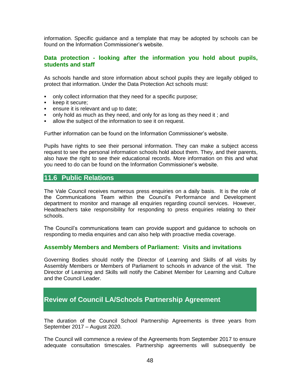information. Specific guidance and a template that may be adopted by schools can be found on the Information Commissioner's website.

#### **Data protection - looking after the information you hold about pupils, students and staff**

As schools handle and store information about school pupils they are legally obliged to protect that information. Under the Data Protection Act schools must:

- only collect information that they need for a specific purpose;
- keep it secure;
- **ensure it is relevant and up to date:**
- only hold as much as they need, and only for as long as they need it ; and
- allow the subject of the information to see it on request.

Further information can be found on the Information Commissioner's website.

Pupils have rights to see their personal information. They can make a subject access request to see the personal information schools hold about them. They, and their parents, also have the right to see their educational records. More information on this and what you need to do can be found on the Information Commissioner's website.

#### **11.6 Public Relations**

The Vale Council receives numerous press enquiries on a daily basis. It is the role of the Communications Team within the Council's Performance and Development department to monitor and manage all enquiries regarding council services. However, Headteachers take responsibility for responding to press enquiries relating to their schools.

The Council's communications team can provide support and guidance to schools on responding to media enquiries and can also help with proactive media coverage.

#### **Assembly Members and Members of Parliament: Visits and invitations**

Governing Bodies should notify the Director of Learning and Skills of all visits by Assembly Members or Members of Parliament to schools in advance of the visit. The Director of Learning and Skills will notify the Cabinet Member for Learning and Culture and the Council Leader.

## **Review of Council LA/Schools Partnership Agreement**

The duration of the Council School Partnership Agreements is three years from September 2017 – August 2020.

The Council will commence a review of the Agreements from September 2017 to ensure adequate consultation timescales. Partnership agreements will subsequently be